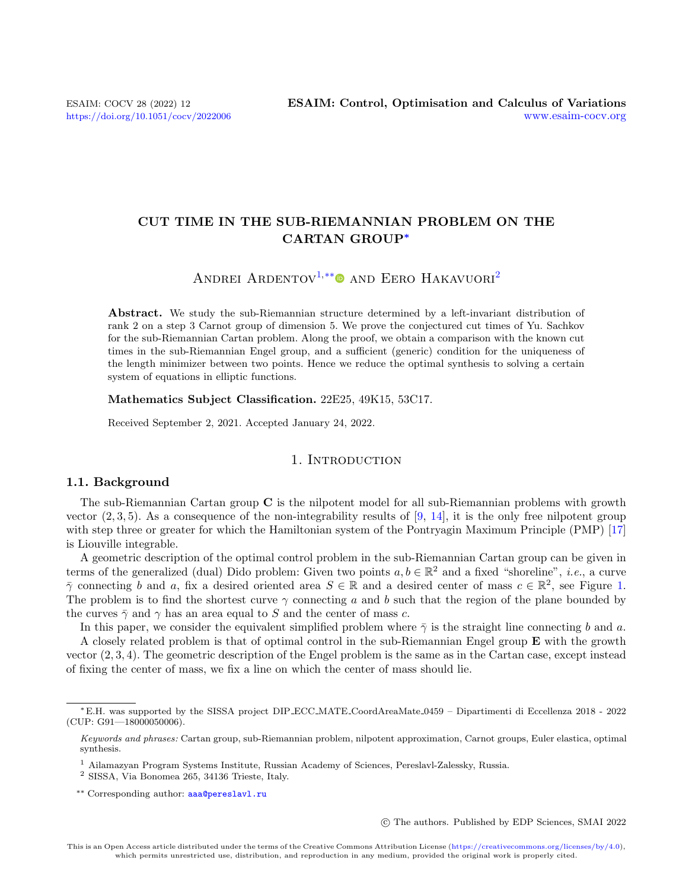# CUT TIME IN THE SUB-RIEMANNIAN PROBLEM ON THE CARTAN GROUP<sup>∗</sup>

ANDREI ARDENTOV<sup>[1,](#page-0-0)[\\*\\*](#page-0-1)</sup> AND EERO HAKAVUORI<sup>[2](#page-0-2)</sup>

Abstract. We study the sub-Riemannian structure determined by a left-invariant distribution of rank 2 on a step 3 Carnot group of dimension 5. We prove the conjectured cut times of Yu. Sachkov for the sub-Riemannian Cartan problem. Along the proof, we obtain a comparison with the known cut times in the sub-Riemannian Engel group, and a sufficient (generic) condition for the uniqueness of the length minimizer between two points. Hence we reduce the optimal synthesis to solving a certain system of equations in elliptic functions.

Mathematics Subject Classification. 22E25, 49K15, 53C17.

Received September 2, 2021. Accepted January 24, 2022.

# 1. INTRODUCTION

#### 1.1. Background

The sub-Riemannian Cartan group C is the nilpotent model for all sub-Riemannian problems with growth vector  $(2,3,5)$ . As a consequence of the non-integrability results of [\[9,](#page-17-0) [14\]](#page-17-1), it is the only free nilpotent group with step three or greater for which the Hamiltonian system of the Pontryagin Maximum Principle (PMP) [\[17\]](#page-18-0) is Liouville integrable.

A geometric description of the optimal control problem in the sub-Riemannian Cartan group can be given in terms of the generalized (dual) Dido problem: Given two points  $a, b \in \mathbb{R}^2$  and a fixed "shoreline", *i.e.*, a curve  $\bar{\gamma}$  connecting b and a, fix a desired oriented area  $S \in \mathbb{R}$  and a desired center of mass  $c \in \mathbb{R}^2$ , see Figure [1.](#page-1-0) The problem is to find the shortest curve  $\gamma$  connecting a and b such that the region of the plane bounded by the curves  $\bar{\gamma}$  and  $\gamma$  has an area equal to S and the center of mass c.

In this paper, we consider the equivalent simplified problem where  $\bar{\gamma}$  is the straight line connecting b and a.

A closely related problem is that of optimal control in the sub-Riemannian Engel group E with the growth vector (2, 3, 4). The geometric description of the Engel problem is the same as in the Cartan case, except instead of fixing the center of mass, we fix a line on which the center of mass should lie.

c The authors. Published by EDP Sciences, SMAI 2022

<sup>∗</sup>E.H. was supported by the SISSA project DIP ECC MATE CoordAreaMate 0459 – Dipartimenti di Eccellenza 2018 - 2022 (CUP: G91—18000050006).

<span id="page-0-1"></span>Keywords and phrases: Cartan group, sub-Riemannian problem, nilpotent approximation, Carnot groups, Euler elastica, optimal synthesis.

<span id="page-0-0"></span><sup>1</sup> Ailamazyan Program Systems Institute, Russian Academy of Sciences, Pereslavl-Zalessky, Russia.

<span id="page-0-2"></span><sup>2</sup> SISSA, Via Bonomea 265, 34136 Trieste, Italy.

<sup>\*\*</sup> Corresponding author: [aaa@pereslavl.ru](mailto:aaa@pereslavl.ru)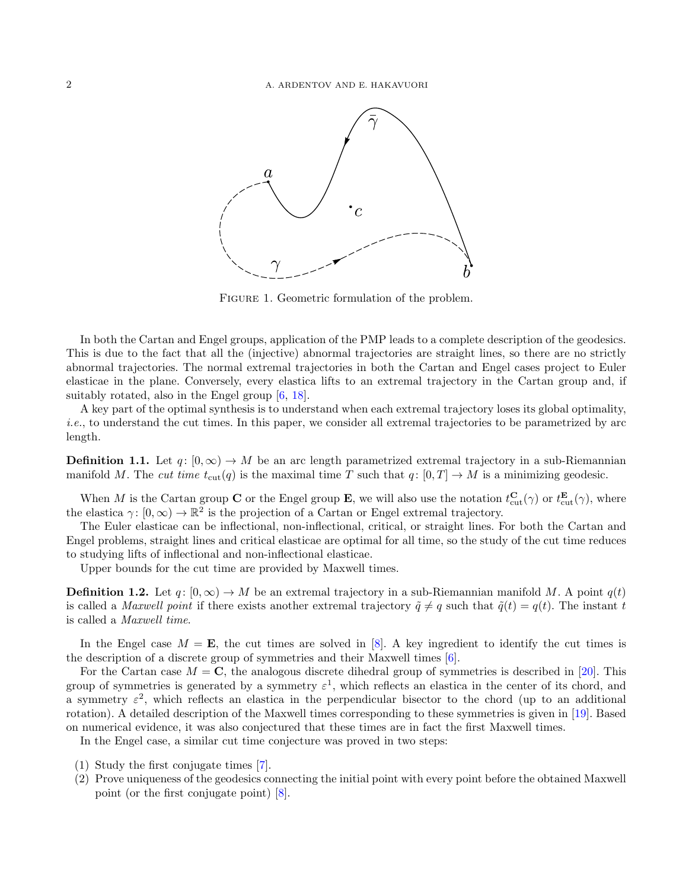

<span id="page-1-0"></span>FIGURE 1. Geometric formulation of the problem.

In both the Cartan and Engel groups, application of the PMP leads to a complete description of the geodesics. This is due to the fact that all the (injective) abnormal trajectories are straight lines, so there are no strictly abnormal trajectories. The normal extremal trajectories in both the Cartan and Engel cases project to Euler elasticae in the plane. Conversely, every elastica lifts to an extremal trajectory in the Cartan group and, if suitably rotated, also in the Engel group [\[6,](#page-17-2) [18\]](#page-18-1).

A key part of the optimal synthesis is to understand when each extremal trajectory loses its global optimality, i.e., to understand the cut times. In this paper, we consider all extremal trajectories to be parametrized by arc length.

**Definition 1.1.** Let  $q: [0, \infty) \to M$  be an arc length parametrized extremal trajectory in a sub-Riemannian manifold M. The cut time  $t_{\text{cut}}(q)$  is the maximal time T such that  $q: [0, T] \to M$  is a minimizing geodesic.

When M is the Cartan group C or the Engel group E, we will also use the notation  $t_{\text{cut}}^{\mathbf{C}}(\gamma)$  or  $t_{\text{cut}}^{\mathbf{E}}(\gamma)$ , where the elastica  $\gamma: [0, \infty) \to \mathbb{R}^2$  is the projection of a Cartan or Engel extremal trajectory.

The Euler elasticae can be inflectional, non-inflectional, critical, or straight lines. For both the Cartan and Engel problems, straight lines and critical elasticae are optimal for all time, so the study of the cut time reduces to studying lifts of inflectional and non-inflectional elasticae.

Upper bounds for the cut time are provided by Maxwell times.

**Definition 1.2.** Let  $q: [0, \infty) \to M$  be an extremal trajectory in a sub-Riemannian manifold M. A point  $q(t)$ is called a *Maxwell point* if there exists another extremal trajectory  $\tilde{q} \neq q$  such that  $\tilde{q}(t) = q(t)$ . The instant t is called a Maxwell time.

In the Engel case  $M = \mathbf{E}$ , the cut times are solved in [\[8\]](#page-17-3). A key ingredient to identify the cut times is the description of a discrete group of symmetries and their Maxwell times [\[6\]](#page-17-2).

For the Cartan case  $M = \mathbf{C}$ , the analogous discrete dihedral group of symmetries is described in [\[20\]](#page-18-2). This group of symmetries is generated by a symmetry  $\varepsilon^1$ , which reflects an elastica in the center of its chord, and a symmetry  $\varepsilon^2$ , which reflects an elastica in the perpendicular bisector to the chord (up to an additional rotation). A detailed description of the Maxwell times corresponding to these symmetries is given in [\[19\]](#page-18-3). Based on numerical evidence, it was also conjectured that these times are in fact the first Maxwell times.

In the Engel case, a similar cut time conjecture was proved in two steps:

- (1) Study the first conjugate times [\[7\]](#page-17-4).
- (2) Prove uniqueness of the geodesics connecting the initial point with every point before the obtained Maxwell point (or the first conjugate point) [\[8\]](#page-17-3).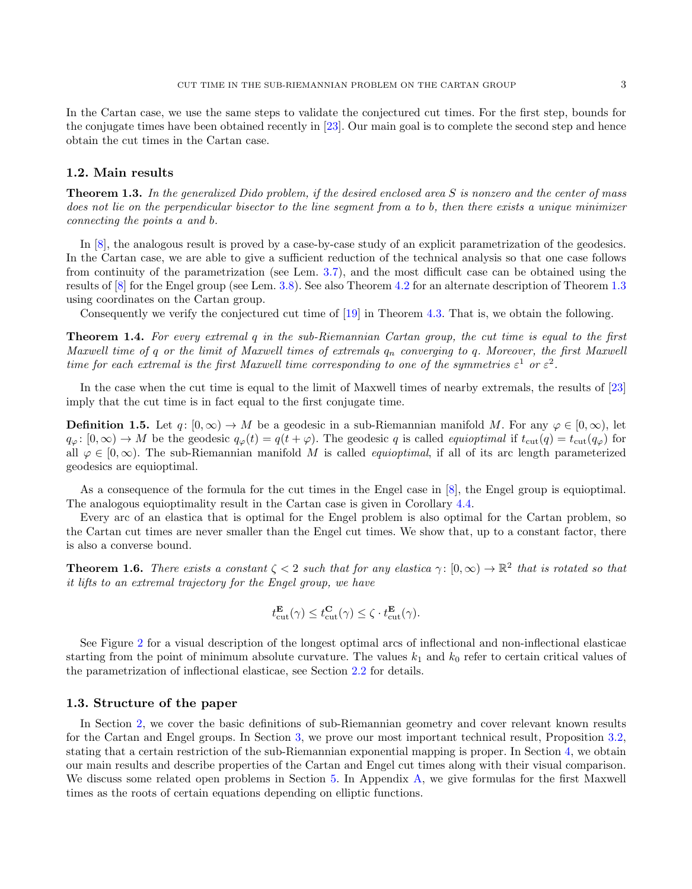In the Cartan case, we use the same steps to validate the conjectured cut times. For the first step, bounds for the conjugate times have been obtained recently in [\[23\]](#page-18-4). Our main goal is to complete the second step and hence obtain the cut times in the Cartan case.

#### 1.2. Main results

<span id="page-2-0"></span>Theorem 1.3. In the generalized Dido problem, if the desired enclosed area S is nonzero and the center of mass does not lie on the perpendicular bisector to the line segment from a to b, then there exists a unique minimizer connecting the points a and b.

In [\[8\]](#page-17-3), the analogous result is proved by a case-by-case study of an explicit parametrization of the geodesics. In the Cartan case, we are able to give a sufficient reduction of the technical analysis so that one case follows from continuity of the parametrization (see Lem. [3.7\)](#page-11-0), and the most difficult case can be obtained using the results of [\[8\]](#page-17-3) for the Engel group (see Lem. [3.8\)](#page-12-0). See also Theorem [4.2](#page-13-0) for an alternate description of Theorem [1.3](#page-2-0) using coordinates on the Cartan group.

Consequently we verify the conjectured cut time of [\[19\]](#page-18-3) in Theorem [4.3.](#page-13-1) That is, we obtain the following.

<span id="page-2-1"></span>Theorem 1.4. For every extremal q in the sub-Riemannian Cartan group, the cut time is equal to the first Maxwell time of q or the limit of Maxwell times of extremals  $q_n$  converging to q. Moreover, the first Maxwell time for each extremal is the first Maxwell time corresponding to one of the symmetries  $\varepsilon^1$  or  $\varepsilon^2$ .

In the case when the cut time is equal to the limit of Maxwell times of nearby extremals, the results of [\[23\]](#page-18-4) imply that the cut time is in fact equal to the first conjugate time.

**Definition 1.5.** Let  $q: [0, \infty) \to M$  be a geodesic in a sub-Riemannian manifold M. For any  $\varphi \in [0, \infty)$ , let  $q_{\varphi}: [0, \infty) \to M$  be the geodesic  $q_{\varphi}(t) = q(t + \varphi)$ . The geodesic q is called *equioptimal* if  $t_{\text{cut}}(q) = t_{\text{cut}}(q_{\varphi})$  for all  $\varphi \in [0,\infty)$ . The sub-Riemannian manifold M is called *equioptimal*, if all of its arc length parameterized geodesics are equioptimal.

As a consequence of the formula for the cut times in the Engel case in [\[8\]](#page-17-3), the Engel group is equioptimal. The analogous equioptimality result in the Cartan case is given in Corollary [4.4.](#page-14-0)

Every arc of an elastica that is optimal for the Engel problem is also optimal for the Cartan problem, so the Cartan cut times are never smaller than the Engel cut times. We show that, up to a constant factor, there is also a converse bound.

<span id="page-2-2"></span>**Theorem 1.6.** There exists a constant  $\zeta < 2$  such that for any elastica  $\gamma : [0, \infty) \to \mathbb{R}^2$  that is rotated so that it lifts to an extremal trajectory for the Engel group, we have

$$
t_{\text{cut}}^{\mathbf{E}}(\gamma) \leq t_{\text{cut}}^{\mathbf{C}}(\gamma) \leq \zeta \cdot t_{\text{cut}}^{\mathbf{E}}(\gamma).
$$

See Figure [2](#page-3-0) for a visual description of the longest optimal arcs of inflectional and non-inflectional elasticae starting from the point of minimum absolute curvature. The values  $k_1$  and  $k_0$  refer to certain critical values of the parametrization of inflectional elasticae, see Section [2.2](#page-5-0) for details.

#### 1.3. Structure of the paper

In Section [2,](#page-3-1) we cover the basic definitions of sub-Riemannian geometry and cover relevant known results for the Cartan and Engel groups. In Section [3,](#page-10-0) we prove our most important technical result, Proposition [3.2,](#page-10-1) stating that a certain restriction of the sub-Riemannian exponential mapping is proper. In Section [4,](#page-13-2) we obtain our main results and describe properties of the Cartan and Engel cut times along with their visual comparison. We discuss some related open problems in Section [5.](#page-14-1) In Appendix [A,](#page-15-0) we give formulas for the first Maxwell times as the roots of certain equations depending on elliptic functions.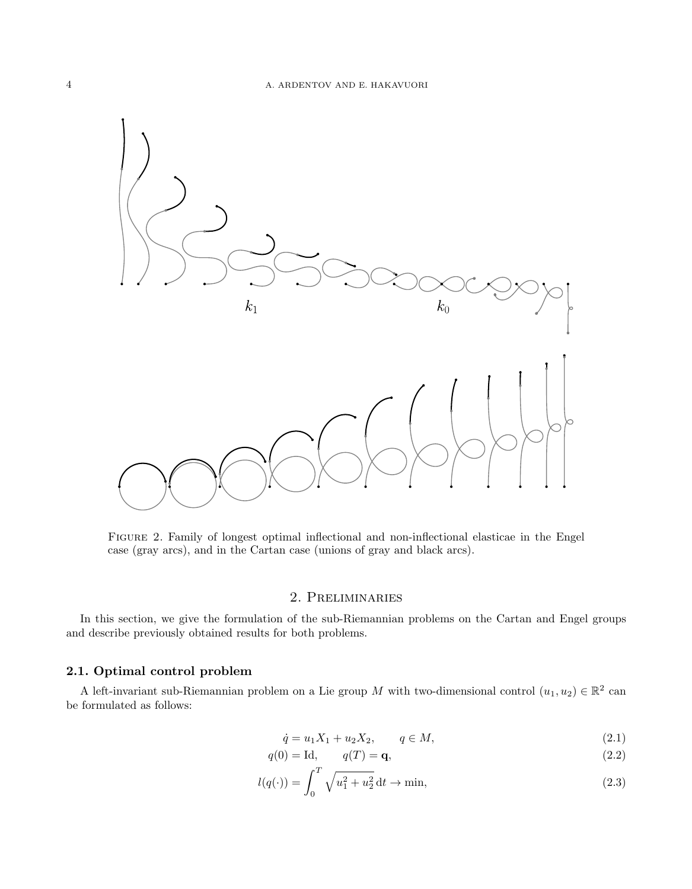

<span id="page-3-0"></span>Figure 2. Family of longest optimal inflectional and non-inflectional elasticae in the Engel case (gray arcs), and in the Cartan case (unions of gray and black arcs).

# 2. Preliminaries

<span id="page-3-1"></span>In this section, we give the formulation of the sub-Riemannian problems on the Cartan and Engel groups and describe previously obtained results for both problems.

# 2.1. Optimal control problem

A left-invariant sub-Riemannian problem on a Lie group M with two-dimensional control  $(u_1, u_2) \in \mathbb{R}^2$  can be formulated as follows:

<span id="page-3-4"></span><span id="page-3-3"></span><span id="page-3-2"></span>
$$
\dot{q} = u_1 X_1 + u_2 X_2, \qquad q \in M,
$$
\n(2.1)

$$
q(0) = \text{Id}, \qquad q(T) = \mathbf{q}, \tag{2.2}
$$

$$
l(q(\cdot)) = \int_0^T \sqrt{u_1^2 + u_2^2} \, \mathrm{d}t \to \min,\tag{2.3}
$$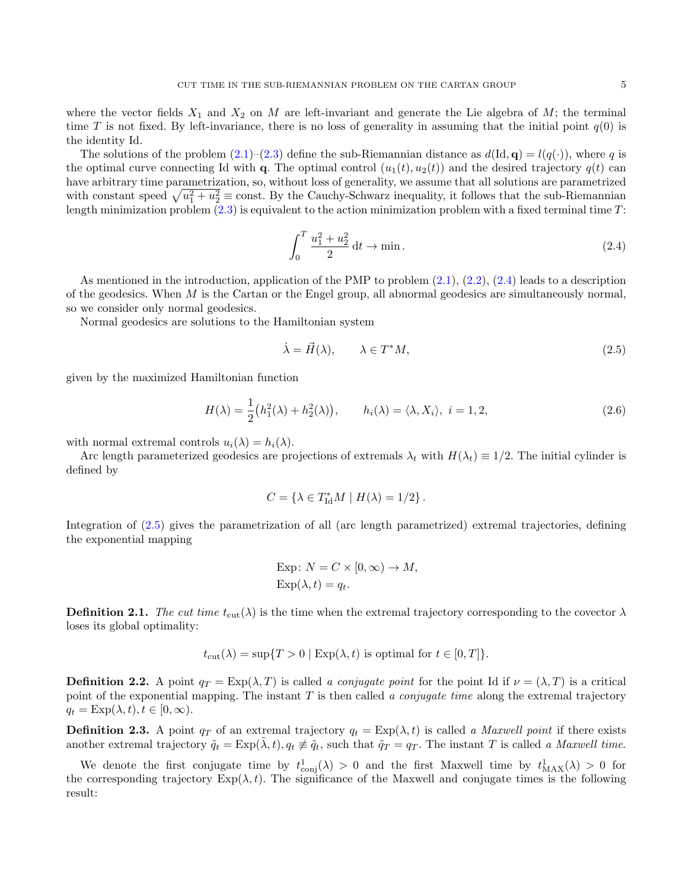The solutions of the problem  $(2.1)$ – $(2.3)$  define the sub-Riemannian distance as  $d(\text{Id}, \mathbf{q}) = l(q(\cdot))$ , where q is the optimal curve connecting Id with q. The optimal control  $(u_1(t), u_2(t))$  and the desired trajectory  $q(t)$  can have arbitrary time parametrization, so, without loss of generality, we assume that all solutions are parametrized with constant speed  $\sqrt{u_1^2 + u_2^2} \equiv \text{const.}$  By the Cauchy-Schwarz inequality, it follows that the sub-Riemannian length minimization problem  $(2.3)$  is equivalent to the action minimization problem with a fixed terminal time T:

<span id="page-4-0"></span>
$$
\int_0^T \frac{u_1^2 + u_2^2}{2} \, \mathrm{d}t \to \min. \tag{2.4}
$$

As mentioned in the introduction, application of the PMP to problem [\(2.1\)](#page-3-2), [\(2.2\)](#page-3-4), [\(2.4\)](#page-4-0) leads to a description of the geodesics. When  $M$  is the Cartan or the Engel group, all abnormal geodesics are simultaneously normal. so we consider only normal geodesics.

Normal geodesics are solutions to the Hamiltonian system

<span id="page-4-1"></span>
$$
\dot{\lambda} = \vec{H}(\lambda), \qquad \lambda \in T^*M,
$$
\n(2.5)

given by the maximized Hamiltonian function

<span id="page-4-2"></span>
$$
H(\lambda) = \frac{1}{2} (h_1^2(\lambda) + h_2^2(\lambda)), \qquad h_i(\lambda) = \langle \lambda, X_i \rangle, \ i = 1, 2,
$$
\n
$$
(2.6)
$$

with normal extremal controls  $u_i(\lambda) = h_i(\lambda)$ .

Arc length parameterized geodesics are projections of extremals  $\lambda_t$  with  $H(\lambda_t) \equiv 1/2$ . The initial cylinder is defined by

$$
C = \{ \lambda \in T_{\rm Id}^* M \mid H(\lambda) = 1/2 \}.
$$

Integration of [\(2.5\)](#page-4-1) gives the parametrization of all (arc length parametrized) extremal trajectories, defining the exponential mapping

Exp: 
$$
N = C \times [0, \infty) \to M
$$
,  
Exp( $\lambda$ ,  $t$ ) =  $q_t$ .

**Definition 2.1.** The cut time  $t_{\text{cut}}(\lambda)$  is the time when the extremal trajectory corresponding to the covector  $\lambda$ loses its global optimality:

$$
t_{\text{cut}}(\lambda) = \sup\{T > 0 \mid \text{Exp}(\lambda, t) \text{ is optimal for } t \in [0, T]\}.
$$

**Definition 2.2.** A point  $q_T = \text{Exp}(\lambda, T)$  is called a conjugate point for the point Id if  $\nu = (\lambda, T)$  is a critical point of the exponential mapping. The instant  $T$  is then called a *conjugate time* along the extremal trajectory  $q_t = \text{Exp}(\lambda, t), t \in [0, \infty).$ 

**Definition 2.3.** A point  $q_T$  of an extremal trajectory  $q_t = \text{Exp}(\lambda, t)$  is called a *Maxwell point* if there exists another extremal trajectory  $\tilde{q}_t = \text{Exp}(\tilde{\lambda}, t)$ ,  $q_t \neq \tilde{q}_t$ , such that  $\tilde{q}_T = q_T$ . The instant T is called a Maxwell time.

We denote the first conjugate time by  $t_{\text{conj}}^1(\lambda) > 0$  and the first Maxwell time by  $t_{\text{MAX}}^1(\lambda) > 0$  for the corresponding trajectory  $Exp(\lambda, t)$ . The significance of the Maxwell and conjugate times is the following result: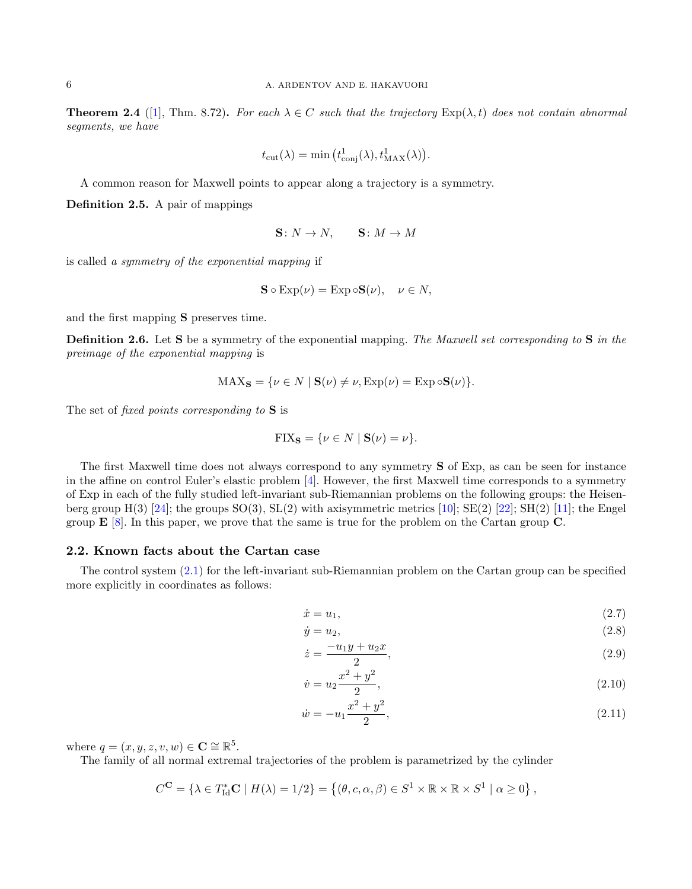**Theorem 2.4** ([\[1\]](#page-17-5), Thm. 8.72). For each  $\lambda \in C$  such that the trajectory  $Exp(\lambda, t)$  does not contain abnormal segments, we have

$$
t_{\rm cut}(\lambda) = \min\big(t_{\rm conj}^1(\lambda), t_{\rm MAX}^1(\lambda)\big).
$$

A common reason for Maxwell points to appear along a trajectory is a symmetry.

Definition 2.5. A pair of mappings

$$
S\colon N \to N, \qquad S\colon M \to M
$$

is called a symmetry of the exponential mapping if

$$
\mathbf{S} \circ \operatorname{Exp}(\nu) = \operatorname{Exp} \circ \mathbf{S}(\nu), \quad \nu \in N,
$$

and the first mapping S preserves time.

Definition 2.6. Let S be a symmetry of the exponential mapping. The Maxwell set corresponding to S in the preimage of the exponential mapping is

$$
MAX_{\mathbf{S}} = \{ \nu \in N \mid \mathbf{S}(\nu) \neq \nu, \text{Exp}(\nu) = \text{Exp} \circ \mathbf{S}(\nu) \}.
$$

The set of *fixed points corresponding to* **S** is

$$
FIX_{\mathbf{S}} = \{ \nu \in N \mid \mathbf{S}(\nu) = \nu \}.
$$

The first Maxwell time does not always correspond to any symmetry S of Exp, as can be seen for instance in the affine on control Euler's elastic problem [\[4\]](#page-17-6). However, the first Maxwell time corresponds to a symmetry of Exp in each of the fully studied left-invariant sub-Riemannian problems on the following groups: the Heisenberg group  $H(3)$  [\[24\]](#page-18-5); the groups  $SO(3)$ ,  $SL(2)$  with axisymmetric metrics [\[10\]](#page-17-7);  $SE(2)$  [\[22\]](#page-18-6);  $SH(2)$  [\[11\]](#page-17-8); the Engel group E [\[8\]](#page-17-3). In this paper, we prove that the same is true for the problem on the Cartan group C.

#### <span id="page-5-0"></span>2.2. Known facts about the Cartan case

The control system [\(2.1\)](#page-3-2) for the left-invariant sub-Riemannian problem on the Cartan group can be specified more explicitly in coordinates as follows:

<span id="page-5-1"></span>
$$
\dot{x} = u_1,\tag{2.7}
$$

$$
\dot{y} = u_2,\tag{2.8}
$$

$$
\dot{z} = \frac{-u_1 y + u_2 x}{2},\tag{2.9}
$$

<span id="page-5-2"></span>
$$
\dot{v} = u_2 \frac{x^2 + y^2}{2},\tag{2.10}
$$

$$
\dot{w} = -u_1 \frac{x^2 + y^2}{2},\tag{2.11}
$$

where  $q = (x, y, z, v, w) \in \mathbb{C} \cong \mathbb{R}^5$ .

The family of all normal extremal trajectories of the problem is parametrized by the cylinder

$$
C^{\mathbf{C}} = \{ \lambda \in T_{\mathrm{Id}}^* \mathbf{C} \mid H(\lambda) = 1/2 \} = \left\{ (\theta, c, \alpha, \beta) \in S^1 \times \mathbb{R} \times \mathbb{R} \times S^1 \mid \alpha \geq 0 \right\},\
$$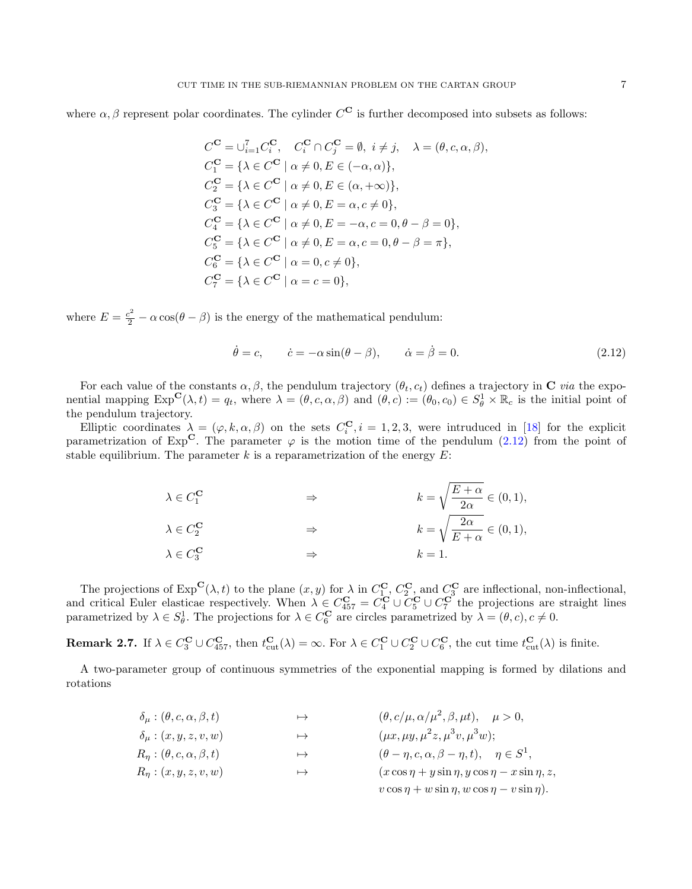where  $\alpha, \beta$  represent polar coordinates. The cylinder  $C^{\mathbf{C}}$  is further decomposed into subsets as follows:

$$
C^{\mathbf{C}} = \bigcup_{i=1}^{7} C_i^{\mathbf{C}}, \quad C_i^{\mathbf{C}} \cap C_j^{\mathbf{C}} = \emptyset, \ i \neq j, \quad \lambda = (\theta, c, \alpha, \beta),
$$
  
\n
$$
C_1^{\mathbf{C}} = \{\lambda \in C^{\mathbf{C}} \mid \alpha \neq 0, E \in (-\alpha, \alpha)\},
$$
  
\n
$$
C_2^{\mathbf{C}} = \{\lambda \in C^{\mathbf{C}} \mid \alpha \neq 0, E \in (\alpha, +\infty)\},
$$
  
\n
$$
C_3^{\mathbf{C}} = \{\lambda \in C^{\mathbf{C}} \mid \alpha \neq 0, E = \alpha, c \neq 0\},
$$
  
\n
$$
C_4^{\mathbf{C}} = \{\lambda \in C^{\mathbf{C}} \mid \alpha \neq 0, E = -\alpha, c = 0, \theta - \beta = 0\},
$$
  
\n
$$
C_5^{\mathbf{C}} = \{\lambda \in C^{\mathbf{C}} \mid \alpha \neq 0, E = \alpha, c = 0, \theta - \beta = \pi\},
$$
  
\n
$$
C_6^{\mathbf{C}} = \{\lambda \in C^{\mathbf{C}} \mid \alpha = 0, c \neq 0\},
$$
  
\n
$$
C_7^{\mathbf{C}} = \{\lambda \in C^{\mathbf{C}} \mid \alpha = c = 0\},
$$

where  $E = \frac{c^2}{2} - \alpha \cos(\theta - \beta)$  is the energy of the mathematical pendulum:

<span id="page-6-0"></span>
$$
\dot{\theta} = c, \qquad \dot{c} = -\alpha \sin(\theta - \beta), \qquad \dot{\alpha} = \dot{\beta} = 0.
$$
 (2.12)

For each value of the constants  $\alpha, \beta$ , the pendulum trajectory  $(\theta_t, c_t)$  defines a trajectory in **C** via the exponential mapping  $\text{Exp}^{\mathbf{C}}(\lambda, t) = q_t$ , where  $\lambda = (\theta, c, \alpha, \beta)$  and  $(\theta, c) := (\theta_0, c_0) \in S^1_\theta \times \mathbb{R}_c$  is the initial point of the pendulum trajectory.

Elliptic coordinates  $\lambda = (\varphi, k, \alpha, \beta)$  on the sets  $C_i^{\mathbf{C}}$ ,  $i = 1, 2, 3$ , were intruduced in [\[18\]](#page-18-1) for the explicit parametrization of  $Exp^C$ . The parameter  $\varphi$  is the motion time of the pendulum [\(2.12\)](#page-6-0) from the point of stable equilibrium. The parameter  $k$  is a reparametrization of the energy  $E$ :

| $\lambda \in C_1^{\mathbf{C}}$ | $\Rightarrow$ | $k = \sqrt{\frac{E + \alpha}{2\alpha}} \in (0, 1),$ |
|--------------------------------|---------------|-----------------------------------------------------|
| $\lambda \in C_2^{\mathbf{C}}$ | $\Rightarrow$ | $k = \sqrt{\frac{2\alpha}{E + \alpha}} \in (0, 1),$ |
| $\lambda \in C_3^{\mathbf{C}}$ | $\Rightarrow$ | $k=1.$                                              |

The projections of  $\text{Exp}^{\mathbf{C}}(\lambda, t)$  to the plane  $(x, y)$  for  $\lambda$  in  $C_1^{\mathbf{C}}$ ,  $C_2^{\mathbf{C}}$ , and  $C_3^{\mathbf{C}}$  are inflectional, non-inflectional, and critical Euler elasticae respectively. When  $\lambda \in C_{457}^{\mathbf{C}} = C_4^{\mathbf{C}} \cup C_5^{\mathbf{C}} \cup C_7^{\mathbf{C}}$  the projections are straight lines parametrized by  $\lambda \in S^1_{\theta}$ . The projections for  $\lambda \in C_6^{\mathbf{C}}$  are circles parametrized by  $\lambda = (\theta, c), c \neq 0$ .

<span id="page-6-1"></span>**Remark 2.7.** If  $\lambda \in C_3^{\mathbf{C}} \cup C_{457}^{\mathbf{C}}$ , then  $t_{\text{cut}}^{\mathbf{C}}(\lambda) = \infty$ . For  $\lambda \in C_1^{\mathbf{C}} \cup C_2^{\mathbf{C}} \cup C_6^{\mathbf{C}}$ , the cut time  $t_{\text{cut}}^{\mathbf{C}}(\lambda)$  is finite.

A two-parameter group of continuous symmetries of the exponential mapping is formed by dilations and rotations

$$
\delta_{\mu} : (\theta, c, \alpha, \beta, t) \rightarrow (\theta, c/\mu, \alpha/\mu^{2}, \beta, \mu t), \quad \mu > 0,
$$
  
\n
$$
\delta_{\mu} : (x, y, z, v, w) \rightarrow (\mu x, \mu y, \mu^{2} z, \mu^{3} v, \mu^{3} w);
$$
  
\n
$$
R_{\eta} : (\theta, c, \alpha, \beta, t) \rightarrow (\theta - \eta, c, \alpha, \beta - \eta, t), \quad \eta \in S^{1},
$$
  
\n
$$
R_{\eta} : (x, y, z, v, w) \rightarrow (\alpha \cos \eta + y \sin \eta, y \cos \eta - x \sin \eta, z,
$$
  
\n
$$
v \cos \eta + w \sin \eta, w \cos \eta - v \sin \eta).
$$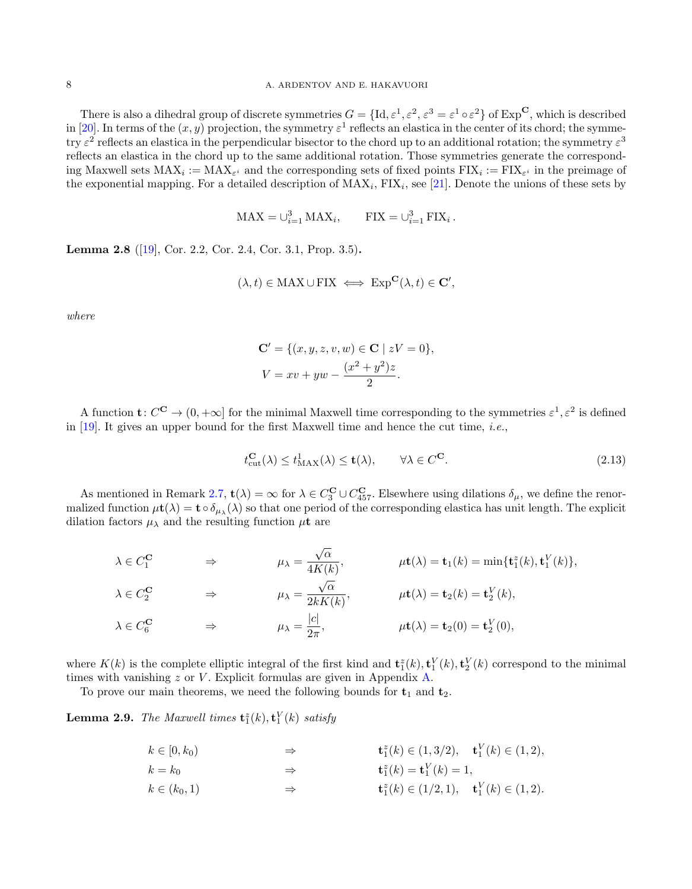There is also a dihedral group of discrete symmetries  $G = \{Id, \varepsilon^1, \varepsilon^2, \varepsilon^3 = \varepsilon^1 \circ \varepsilon^2\}$  of  $Exp^{\mathbf{C}}$ , which is described in [\[20\]](#page-18-2). In terms of the  $(x, y)$  projection, the symmetry  $\varepsilon^1$  reflects an elastica in the center of its chord; the symmetry  $\varepsilon^2$  reflects an elastica in the perpendicular bisector to the chord up to an additional rotation; the symmetry  $\varepsilon^3$ reflects an elastica in the chord up to the same additional rotation. Those symmetries generate the corresponding Maxwell sets  $MAX_i := MAX_{\varepsilon^i}$  and the corresponding sets of fixed points  $FIX_i := FIX_{\varepsilon^i}$  in the preimage of the exponential mapping. For a detailed description of  $MAX_i$ ,  $FIN_i$ , see [\[21\]](#page-18-7). Denote the unions of these sets by

$$
MAX = \bigcup_{i=1}^{3} MAX_i, \qquad \text{FIX} = \bigcup_{i=1}^{3} \text{FIX}_i.
$$

<span id="page-7-2"></span>Lemma 2.8 ([\[19\]](#page-18-3), Cor. 2.2, Cor. 2.4, Cor. 3.1, Prop. 3.5).

$$
(\lambda, t) \in \text{MAX} \cup \text{FIX} \iff \text{Exp}^{\mathbf{C}}(\lambda, t) \in \mathbf{C}',
$$

where

$$
\mathbf{C}' = \{ (x, y, z, v, w) \in \mathbf{C} \mid zV = 0 \},\,
$$
  

$$
V = xv + yw - \frac{(x^2 + y^2)z}{2}.
$$

A function  $\mathbf{t}: C^{\mathbf{C}} \to (0, +\infty]$  for the minimal Maxwell time corresponding to the symmetries  $\varepsilon^1, \varepsilon^2$  is defined in  $[19]$ . It gives an upper bound for the first Maxwell time and hence the cut time, *i.e.*,

<span id="page-7-0"></span>
$$
t_{\text{cut}}^{\mathbf{C}}(\lambda) \le t_{\text{MAX}}^1(\lambda) \le \mathbf{t}(\lambda), \qquad \forall \lambda \in C^{\mathbf{C}}.
$$
 (2.13)

As mentioned in Remark [2.7,](#page-6-1)  $\mathbf{t}(\lambda) = \infty$  for  $\lambda \in C_3^{\mathbf{C}} \cup C_{457}^{\mathbf{C}}$ . Elsewhere using dilations  $\delta_{\mu}$ , we define the renormalized function  $\mu t(\lambda) = t \circ \delta_{\mu\lambda}(\lambda)$  so that one period of the corresponding elastica has unit length. The explicit dilation factors  $\mu_{\lambda}$  and the resulting function  $\mu$ **t** are

$$
\lambda \in C_1^{\mathbf{C}} \qquad \Rightarrow \qquad \mu_{\lambda} = \frac{\sqrt{\alpha}}{4K(k)}, \qquad \mu \mathbf{t}(\lambda) = \mathbf{t}_1(k) = \min\{\mathbf{t}_1^z(k), \mathbf{t}_1^V(k)\},
$$
\n
$$
\lambda \in C_2^{\mathbf{C}} \qquad \Rightarrow \qquad \mu_{\lambda} = \frac{\sqrt{\alpha}}{2kK(k)}, \qquad \mu \mathbf{t}(\lambda) = \mathbf{t}_2(k) = \mathbf{t}_2^V(k),
$$
\n
$$
\lambda \in C_6^{\mathbf{C}} \qquad \Rightarrow \qquad \mu_{\lambda} = \frac{|c|}{2\pi}, \qquad \mu \mathbf{t}(\lambda) = \mathbf{t}_2(0) = \mathbf{t}_2^V(0),
$$

where  $K(k)$  is the complete elliptic integral of the first kind and  $\mathbf{t}_1^z(k), \mathbf{t}_1^V(k), \mathbf{t}_2^V(k)$  correspond to the minimal times with vanishing  $z$  or  $V$ . Explicit formulas are given in Appendix [A.](#page-15-0)

To prove our main theorems, we need the following bounds for  $t_1$  and  $t_2$ .

<span id="page-7-1"></span>**Lemma 2.9.** The Maxwell times  $\mathbf{t}_1^z(k), \mathbf{t}_1^V(k)$  satisfy

$$
k \in [0, k_0)
$$
  
\n
$$
k = k_0
$$
  
\n
$$
k \in (k_0, 1)
$$
  
\n
$$
\Rightarrow \qquad \qquad \mathbf{t}_1^z(k) \in (1, 3/2), \quad \mathbf{t}_1^V(k) \in (1, 2),
$$
  
\n
$$
\Rightarrow \qquad \qquad \mathbf{t}_1^z(k) = \mathbf{t}_1^V(k) = 1,
$$
  
\n
$$
\Rightarrow \qquad \qquad \mathbf{t}_1^z(k) \in (1/2, 1), \quad \mathbf{t}_1^V(k) \in (1, 2).
$$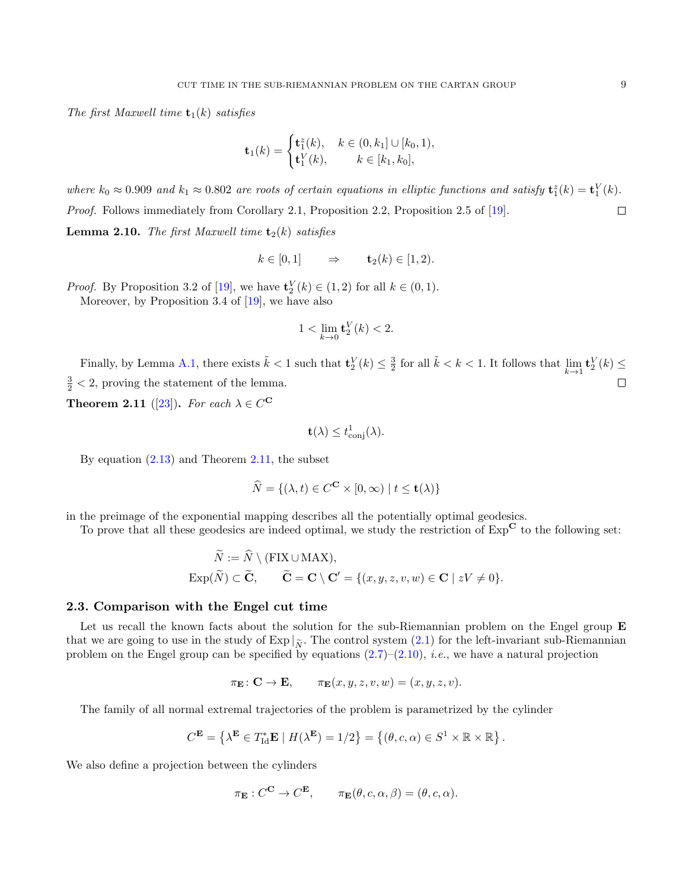The first Maxwell time  $t_1(k)$  satisfies

$$
\mathbf{t}_1(k) = \begin{cases} \mathbf{t}_1^z(k), & k \in (0, k_1] \cup [k_0, 1), \\ \mathbf{t}_1^V(k), & k \in [k_1, k_0], \end{cases}
$$

<span id="page-8-1"></span>where  $k_0 \approx 0.909$  and  $k_1 \approx 0.802$  are roots of certain equations in elliptic functions and satisfy  $\mathbf{t}_1^z(k) = \mathbf{t}_1^V(k)$ . Proof. Follows immediately from Corollary 2.1, Proposition 2.2, Proposition 2.5 of [\[19\]](#page-18-3).  $\Box$ **Lemma 2.10.** The first Maxwell time  $\mathbf{t}_2(k)$  satisfies

$$
k \in [0,1] \qquad \Rightarrow \qquad \mathbf{t}_2(k) \in [1,2).
$$

*Proof.* By Proposition 3.2 of [\[19\]](#page-18-3), we have  $\mathbf{t}_2^V(k) \in (1,2)$  for all  $k \in (0,1)$ . Moreover, by Proposition 3.4 of [\[19\]](#page-18-3), we have also

$$
1 < \lim_{k \to 0} \mathbf{t}_2^V(k) < 2.
$$

Finally, by Lemma [A.1,](#page-16-0) there exists  $\tilde{k} < 1$  such that  $\mathbf{t}_2^V(k) \leq \frac{3}{2}$  for all  $\tilde{k} < k < 1$ . It follows that  $\lim_{k \to 1} \mathbf{t}_2^V(k) \leq$  $\frac{3}{2}$  < 2, proving the statement of the lemma.  $\Box$ 

<span id="page-8-0"></span>**Theorem 2.11** ([\[23\]](#page-18-4)). For each  $\lambda \in C^{\mathbf{C}}$ 

$$
\mathbf{t}(\lambda) \le t_{\mathrm{conj}}^1(\lambda).
$$

By equation [\(2.13\)](#page-7-0) and Theorem [2.11,](#page-8-0) the subset

$$
\widehat{N} = \{ (\lambda, t) \in C^{\mathbf{C}} \times [0, \infty) \mid t \le \mathbf{t}(\lambda) \}
$$

in the preimage of the exponential mapping describes all the potentially optimal geodesics.

To prove that all these geodesics are indeed optimal, we study the restriction of  $Exp^{\mathbf{C}}$  to the following set:

$$
\widetilde{N} := \widetilde{N} \setminus (\text{FIX} \cup \text{MAX}),
$$
  
\n
$$
\text{Exp}(\widetilde{N}) \subset \widetilde{\mathbf{C}}, \qquad \widetilde{\mathbf{C}} = \mathbf{C} \setminus \mathbf{C}' = \{(x, y, z, v, w) \in \mathbf{C} \mid zV \neq 0\}.
$$

#### 2.3. Comparison with the Engel cut time

Let us recall the known facts about the solution for the sub-Riemannian problem on the Engel group E that we are going to use in the study of Exp  $|\tilde{\chi}$ . The control system [\(2.1\)](#page-3-2) for the left-invariant sub-Riemannian problem on the Engel group can be specified by equations  $(2.7)$ – $(2.10)$ , *i.e.*, we have a natural projection

$$
\pi_{\mathbf{E}} \colon \mathbf{C} \to \mathbf{E}, \qquad \pi_{\mathbf{E}}(x, y, z, v, w) = (x, y, z, v).
$$

The family of all normal extremal trajectories of the problem is parametrized by the cylinder

$$
C^{\mathbf{E}} = \left\{ \lambda^{\mathbf{E}} \in T_{\text{Id}}^* \mathbf{E} \mid H(\lambda^{\mathbf{E}}) = 1/2 \right\} = \left\{ (\theta, c, \alpha) \in S^1 \times \mathbb{R} \times \mathbb{R} \right\}
$$

.

We also define a projection between the cylinders

$$
\pi_{\mathbf{E}} : C^{\mathbf{C}} \to C^{\mathbf{E}}, \qquad \pi_{\mathbf{E}}(\theta, c, \alpha, \beta) = (\theta, c, \alpha).
$$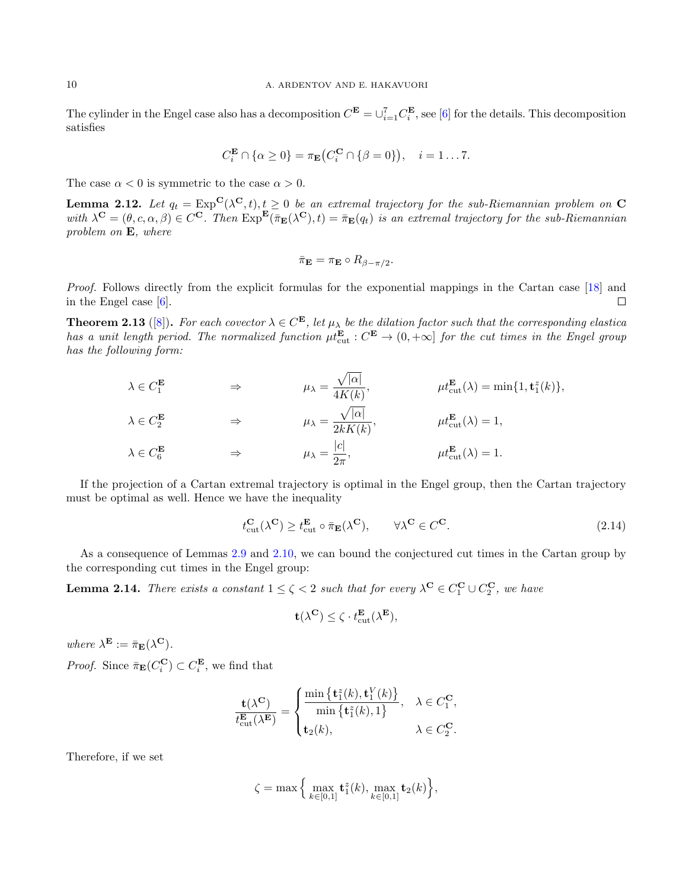The cylinder in the Engel case also has a decomposition  $C^{\mathbf{E}} = \cup_{i=1}^{7} C_i^{\mathbf{E}}$ , see [\[6\]](#page-17-2) for the details. This decomposition satisfies

$$
C_i^{\mathbf{E}} \cap \{ \alpha \ge 0 \} = \pi_{\mathbf{E}} \big( C_i^{\mathbf{C}} \cap \{ \beta = 0 \} \big), \quad i = 1 \dots 7.
$$

The case  $\alpha < 0$  is symmetric to the case  $\alpha > 0$ .

**Lemma 2.12.** Let  $q_t = \text{Exp}^{\mathbf{C}}(\lambda^{\mathbf{C}}, t), t \geq 0$  be an extremal trajectory for the sub-Riemannian problem on  $\mathbf{C}$ with  $\lambda^{\mathbf{C}} = (\theta, c, \alpha, \beta) \in C^{\mathbf{C}}$ . Then  $\text{Exp}^{\mathbf{E}}(\bar{\pi}_{\mathbf{E}}(\lambda^{\mathbf{C}}), t) = \bar{\pi}_{\mathbf{E}}(q_t)$  is an extremal trajectory for the sub-Riemannian problem on E, where

$$
\bar{\pi}_{\mathbf{E}} = \pi_{\mathbf{E}} \circ R_{\beta - \pi/2}.
$$

Proof. Follows directly from the explicit formulas for the exponential mappings in the Cartan case [\[18\]](#page-18-1) and in the Engel case [\[6\]](#page-17-2).  $\Box$ 

**Theorem 2.13** ([\[8\]](#page-17-3)). For each covector  $\lambda \in C^{\mathbf{E}}$ , let  $\mu_{\lambda}$  be the dilation factor such that the corresponding elastica has a unit length period. The normalized function  $\mu t_{\text{cut}}^{\mathbf{E}} : C^{\mathbf{E}} \to (0, +\infty]$  for the cut times in the Engel group has the following form:

$$
\lambda \in C_1^{\mathbf{E}} \qquad \Rightarrow \qquad \mu_{\lambda} = \frac{\sqrt{|\alpha|}}{4K(k)}, \qquad \mu_{\text{cut}}^{\mathbf{E}}(\lambda) = \min\{1, \mathbf{t}_1^z(k)\},
$$
  

$$
\lambda \in C_2^{\mathbf{E}} \qquad \Rightarrow \qquad \mu_{\lambda} = \frac{\sqrt{|\alpha|}}{2kK(k)}, \qquad \mu_{\text{cut}}^{\mathbf{E}}(\lambda) = 1,
$$
  

$$
\lambda \in C_6^{\mathbf{E}} \qquad \Rightarrow \qquad \mu_{\lambda} = \frac{|c|}{2\pi}, \qquad \mu_{\text{cut}}^{\mathbf{E}}(\lambda) = 1.
$$

If the projection of a Cartan extremal trajectory is optimal in the Engel group, then the Cartan trajectory must be optimal as well. Hence we have the inequality

$$
t_{\text{cut}}^{\mathbf{C}}(\lambda^{\mathbf{C}}) \ge t_{\text{cut}}^{\mathbf{E}} \circ \bar{\pi}_{\mathbf{E}}(\lambda^{\mathbf{C}}), \qquad \forall \lambda^{\mathbf{C}} \in C^{\mathbf{C}}.
$$
\n(2.14)

As a consequence of Lemmas [2.9](#page-7-1) and [2.10,](#page-8-1) we can bound the conjectured cut times in the Cartan group by the corresponding cut times in the Engel group:

<span id="page-9-0"></span>**Lemma 2.14.** There exists a constant  $1 \le \zeta < 2$  such that for every  $\lambda^C \in C_1^C \cup C_2^C$ , we have

<span id="page-9-1"></span>
$$
\mathbf{t}(\lambda^\mathbf{C}) \leq \zeta \cdot t_{\mathrm{cut}}^\mathbf{E}(\lambda^\mathbf{E}),
$$

where  $\lambda^{\mathbf{E}} := \bar{\pi}_{\mathbf{E}}(\lambda^{\mathbf{C}})$ . *Proof.* Since  $\bar{\pi}_{\mathbf{E}}(C_i^{\mathbf{C}}) \subset C_i^{\mathbf{E}}$ , we find that

$$
\frac{\mathbf{t}(\lambda^{\mathbf{C}})}{t_{\text{cut}}^{\mathbf{E}}(\lambda^{\mathbf{E}})} = \begin{cases} \frac{\min\left\{\mathbf{t}_1^z(k), \mathbf{t}_1^V(k)\right\}}{\min\left\{\mathbf{t}_1^z(k), 1\right\}}, & \lambda \in C_1^{\mathbf{C}}, \\ \mathbf{t}_2(k), & \lambda \in C_2^{\mathbf{C}}. \end{cases}
$$

Therefore, if we set

$$
\zeta = \max \Big\{ \max_{k \in [0,1]} \mathbf{t}_1^z(k), \max_{k \in [0,1]} \mathbf{t}_2(k) \Big\},\
$$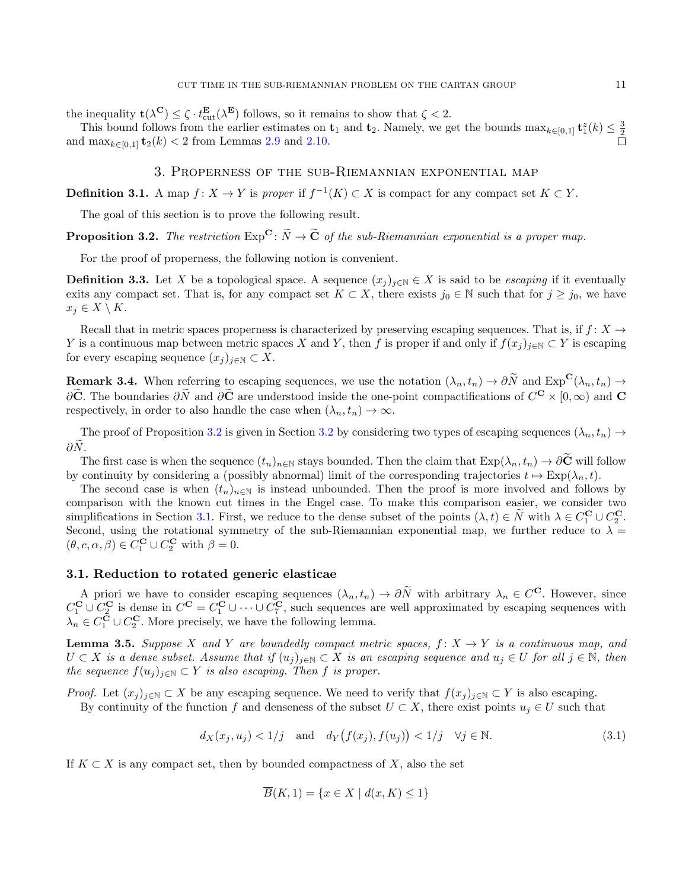the inequality  $\mathbf{t}(\lambda^{\mathbf{C}}) \leq \zeta \cdot t_{\text{cut}}^{\mathbf{E}}(\lambda^{\mathbf{E}})$  follows, so it remains to show that  $\zeta < 2$ .

This bound follows from the earlier estimates on  $\mathbf{t}_1$  and  $\mathbf{t}_2$ . Namely, we get the bounds  $\max_{k \in [0,1]} \mathbf{t}_1^2(k) \leq \frac{3}{2}$ and  $\max_{k \in [0,1]} \mathbf{t}_2(k) < 2$  from Lemmas [2.9](#page-7-1) and [2.10.](#page-8-1)

# 3. Properness of the sub-Riemannian exponential map

<span id="page-10-0"></span>**Definition 3.1.** A map  $f: X \to Y$  is proper if  $f^{-1}(K) \subset X$  is compact for any compact set  $K \subset Y$ .

The goal of this section is to prove the following result.

<span id="page-10-1"></span>**Proposition 3.2.** The restriction  $Exp^{\mathbf{C}}$ :  $\widetilde{N} \to \widetilde{\mathbf{C}}$  of the sub-Riemannian exponential is a proper map.

For the proof of properness, the following notion is convenient.

**Definition 3.3.** Let X be a topological space. A sequence  $(x_j)_{j\in\mathbb{N}}\in X$  is said to be *escaping* if it eventually exits any compact set. That is, for any compact set  $K \subset X$ , there exists  $j_0 \in \mathbb{N}$  such that for  $j \geq j_0$ , we have  $x_j \in X \setminus K$ .

Recall that in metric spaces properness is characterized by preserving escaping sequences. That is, if  $f: X \to$ Y is a continuous map between metric spaces X and Y, then f is proper if and only if  $f(x_j)_{j\in\mathbb{N}}\subset Y$  is escaping for every escaping sequence  $(x_j)_{j\in\mathbb{N}}\subset X$ .

Remark 3.4. When referring to escaping sequences, we use the notation  $(\lambda_n, t_n) \to \partial \widetilde{N}$  and  $\text{Exp}^{\mathbf{C}}(\lambda_n, t_n) \to$  $\partial$ C. The boundaries  $\partial N$  and  $\partial C$  are understood inside the one-point compactifications of  $C^{\mathbf{C}} \times [0, \infty)$  and  $\mathbf{C}$ respectively, in order to also handle the case when  $(\lambda_n, t_n) \to \infty$ .

The proof of Proposition [3.2](#page-11-1) is given in Section 3.2 by considering two types of escaping sequences  $(\lambda_n, t_n) \rightarrow$  $\partial \widetilde{N}$ .

The first case is when the sequence  $(t_n)_{n\in\mathbb{N}}$  stays bounded. Then the claim that  $\text{Exp}(\lambda_n, t_n) \to \partial \tilde{C}$  will follow by continuity by considering a (possibly abnormal) limit of the corresponding trajectories  $t \mapsto \text{Exp}(\lambda_n, t)$ .

The second case is when  $(t_n)_{n\in\mathbb{N}}$  is instead unbounded. Then the proof is more involved and follows by comparison with the known cut times in the Engel case. To make this comparison easier, we consider two simplifications in Section [3.1.](#page-10-2) First, we reduce to the dense subset of the points  $(\lambda, t) \in N$  with  $\lambda \in C_1^{\mathbf{C}} \cup C_2^{\mathbf{C}}$ . Second, using the rotational symmetry of the sub-Riemannian exponential map, we further reduce to  $\lambda =$  $(\theta, c, \alpha, \beta) \in C_1^{\mathbf{C}} \cup C_2^{\mathbf{C}}$  with  $\beta = 0$ .

#### <span id="page-10-2"></span>3.1. Reduction to rotated generic elasticae

A priori we have to consider escaping sequences  $(\lambda_n, t_n) \to \partial \tilde{N}$  with arbitrary  $\lambda_n \in C^{\mathbf{C}}$ . However, since  $C_1^{\mathbf{C}} \cup C_2^{\mathbf{C}}$  is dense in  $C^{\mathbf{C}} = C_1^{\mathbf{C}} \cup \cdots \cup C_7^{\mathbf{C}}$ , such sequences are well approximated by escaping sequences with  $\lambda_n \in C_1^{\mathbf{C}} \cup C_2^{\mathbf{C}}$ . More precisely, we have the following lemma.

**Lemma 3.5.** Suppose X and Y are boundedly compact metric spaces,  $f: X \to Y$  is a continuous map, and  $U \subset X$  is a dense subset. Assume that if  $(u_i)_{i\in\mathbb{N}} \subset X$  is an escaping sequence and  $u_i \in U$  for all  $j \in \mathbb{N}$ , then the sequence  $f(u_i)_{i\in\mathbb{N}}\subset Y$  is also escaping. Then f is proper.

*Proof.* Let  $(x_j)_{j\in\mathbb{N}}\subset X$  be any escaping sequence. We need to verify that  $f(x_j)_{j\in\mathbb{N}}\subset Y$  is also escaping.

By continuity of the function f and denseness of the subset  $U \subset X$ , there exist points  $u_i \in U$  such that

<span id="page-10-3"></span>
$$
d_X(x_j, u_j) < 1/j \quad \text{and} \quad d_Y\big(f(x_j), f(u_j)\big) < 1/j \quad \forall j \in \mathbb{N}.\tag{3.1}
$$

If  $K \subset X$  is any compact set, then by bounded compactness of X, also the set

$$
\overline{B}(K,1) = \{x \in X \mid d(x,K) \le 1\}
$$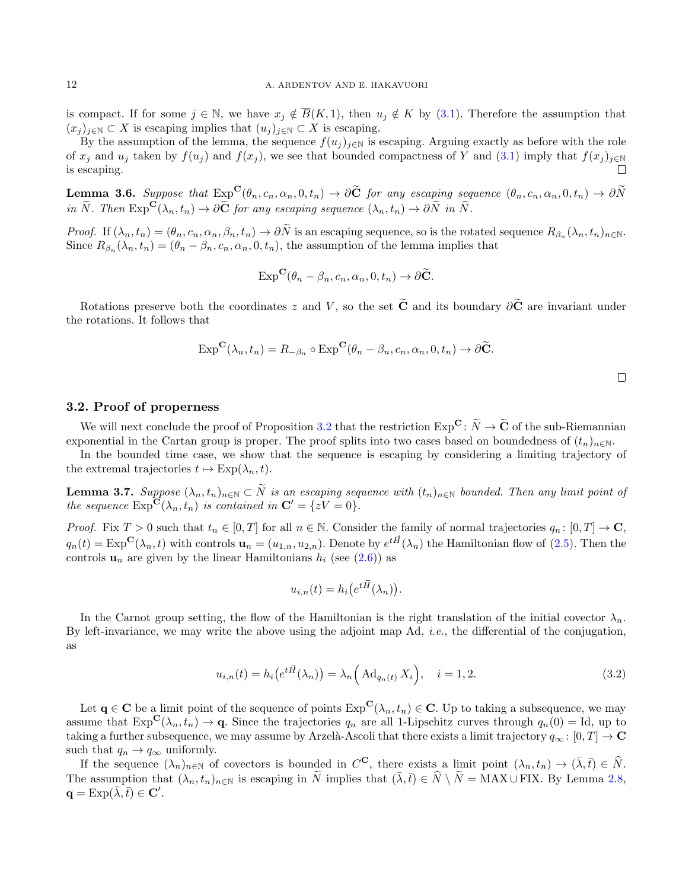is compact. If for some  $j \in \mathbb{N}$ , we have  $x_j \notin \overline{B}(K, 1)$ , then  $u_j \notin K$  by [\(3.1\)](#page-10-3). Therefore the assumption that  $(x_i)_{i\in\mathbb{N}}\subset X$  is escaping implies that  $(u_i)_{i\in\mathbb{N}}\subset X$  is escaping.

By the assumption of the lemma, the sequence  $f(u_j)_{j\in\mathbb{N}}$  is escaping. Arguing exactly as before with the role of  $x_j$  and  $u_j$  taken by  $f(u_j)$  and  $f(x_j)$ , we see that bounded compactness of Y and [\(3.1\)](#page-10-3) imply that  $f(x_j)_{j\in\mathbb{N}}$ is escaping.  $\Box$ 

**Lemma 3.6.** Suppose that  $\text{Exp}^{\mathbf{C}}(\theta_n, c_n, \alpha_n, 0, t_n) \to \partial \widetilde{\mathbf{C}}$  for any escaping sequence  $(\theta_n, c_n, \alpha_n, 0, t_n) \to \partial \widetilde{N}$ in  $\widetilde{N}$ . Then  $\text{Exp}^{\mathbf{C}}(\lambda_n, t_n) \to \partial \widetilde{\mathbf{C}}$  for any escaping sequence  $(\lambda_n, t_n) \to \partial \widetilde{N}$  in  $\widetilde{N}$ .

Proof. If  $(\lambda_n, t_n) = (\theta_n, c_n, \alpha_n, \beta_n, t_n) \to \partial N$  is an escaping sequence, so is the rotated sequence  $R_{\beta_n}(\lambda_n, t_n)_{n \in \mathbb{N}}$ . Since  $R_{\beta_n}(\lambda_n, t_n) = (\theta_n - \beta_n, c_n, \alpha_n, 0, t_n)$ , the assumption of the lemma implies that

$$
\operatorname{Exp}^{\mathbf{C}}(\theta_n-\beta_n,c_n,\alpha_n,0,t_n)\to\partial\widetilde{\mathbf{C}}.
$$

Rotations preserve both the coordinates z and V, so the set  $\tilde{C}$  and its boundary  $\partial \tilde{C}$  are invariant under the rotations. It follows that

$$
\operatorname{Exp}^{\mathbf{C}}(\lambda_n, t_n) = R_{-\beta_n} \circ \operatorname{Exp}^{\mathbf{C}}(\theta_n - \beta_n, c_n, \alpha_n, 0, t_n) \to \partial \widetilde{\mathbf{C}}.
$$

#### <span id="page-11-1"></span>3.2. Proof of properness

We will next conclude the proof of Proposition [3.2](#page-10-1) that the restriction  $Exp^{\mathbf{C}}: \widetilde{N} \to \widetilde{\mathbf{C}}$  of the sub-Riemannian exponential in the Cartan group is proper. The proof splits into two cases based on boundedness of  $(t_n)_{n\in\mathbb{N}}$ .

In the bounded time case, we show that the sequence is escaping by considering a limiting trajectory of the extremal trajectories  $t \mapsto \text{Exp}(\lambda_n, t)$ .

<span id="page-11-0"></span>**Lemma 3.7.** Suppose  $(\lambda_n, t_n)_{n \in \mathbb{N}} \subset N$  is an escaping sequence with  $(t_n)_{n \in \mathbb{N}}$  bounded. Then any limit point of the sequence  $\text{Exp}^{\mathbf{C}}(\lambda_n, t_n)$  is contained in  $\mathbf{C}' = \{zV = 0\}.$ 

*Proof.* Fix  $T > 0$  such that  $t_n \in [0, T]$  for all  $n \in \mathbb{N}$ . Consider the family of normal trajectories  $q_n : [0, T] \to \mathbb{C}$ ,  $q_n(t) = \text{Exp}^{\mathbf{C}}(\lambda_n, t)$  with controls  $\mathbf{u}_n = (u_{1,n}, u_{2,n})$ . Denote by  $e^{t\vec{H}}(\lambda_n)$  the Hamiltonian flow of [\(2.5\)](#page-4-1). Then the controls  $\mathbf{u}_n$  are given by the linear Hamiltonians  $h_i$  (see [\(2.6\)](#page-4-2)) as

$$
u_{i,n}(t) = h_i\left(e^{t\vec{H}}(\lambda_n)\right).
$$

In the Carnot group setting, the flow of the Hamiltonian is the right translation of the initial covector  $\lambda_n$ . By left-invariance, we may write the above using the adjoint map Ad, i.e., the differential of the conjugation, as

<span id="page-11-2"></span>
$$
u_{i,n}(t) = h_i\left(e^{t\vec{H}}(\lambda_n)\right) = \lambda_n\left(\text{Ad}_{q_n(t)}X_i\right), \quad i = 1, 2. \tag{3.2}
$$

Let  $q \in \mathbf{C}$  be a limit point of the sequence of points  $\text{Exp}^{\mathbf{C}}(\lambda_n, t_n) \in \mathbf{C}$ . Up to taking a subsequence, we may assume that  $\text{Exp}^{\mathbf{C}}(\lambda_n, t_n) \to \mathbf{q}$ . Since the trajectories  $q_n$  are all 1-Lipschitz curves through  $q_n(0) = \text{Id}$ , up to taking a further subsequence, we may assume by Arzelà-Ascoli that there exists a limit trajectory  $q_{\infty} : [0, T] \to \mathbb{C}$ such that  $q_n \to q_\infty$  uniformly.

If the sequence  $(\lambda_n)_{n\in\mathbb{N}}$  of covectors is bounded in  $C^{\mathbf{C}}$ , there exists a limit point  $(\lambda_n, t_n) \to (\bar{\lambda}, \bar{t}) \in \widehat{N}$ . The assumption that  $(\lambda_n, t_n)_{n\in\mathbb{N}}$  is escaping in  $\widetilde{N}$  implies that  $(\overline{\lambda}, \overline{t}) \in \widehat{N} \setminus \widetilde{N} = \text{MAX} \cup \text{FIX}$ . By Lemma [2.8,](#page-7-2)  $\mathbf{q} = \text{Exp}(\overline{\lambda}, \overline{t}) \in \mathbf{C}'.$ 

 $\Box$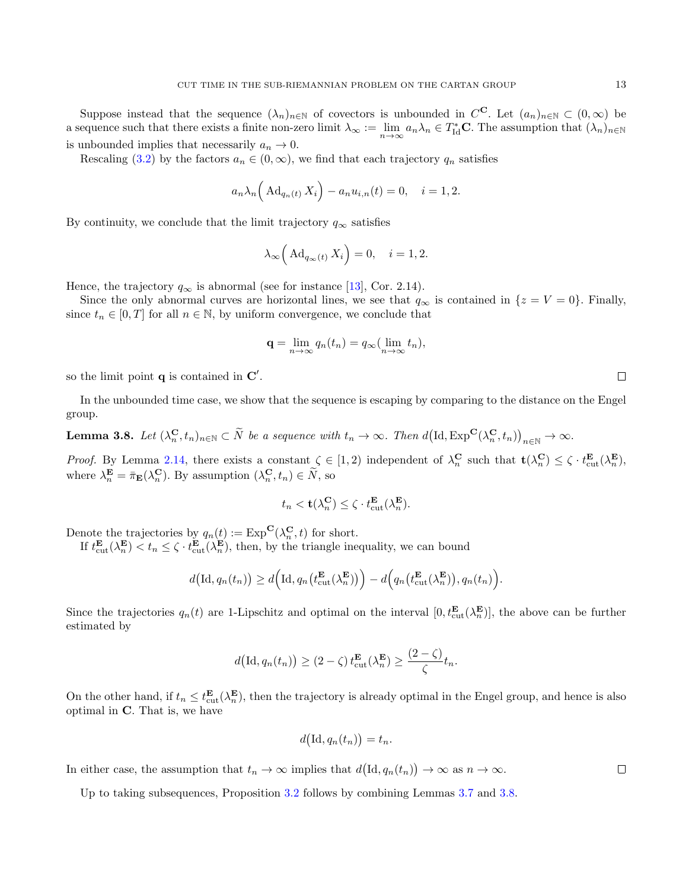Suppose instead that the sequence  $(\lambda_n)_{n\in\mathbb{N}}$  of covectors is unbounded in  $C^{\mathbf{C}}$ . Let  $(a_n)_{n\in\mathbb{N}}\subset(0,\infty)$  be a sequence such that there exists a finite non-zero limit  $\lambda_{\infty} := \lim_{n \to \infty} a_n \lambda_n \in T_{\text{Id}}^* C$ . The assumption that  $(\lambda_n)_{n \in \mathbb{N}}$ is unbounded implies that necessarily  $a_n \to 0$ .

Rescaling [\(3.2\)](#page-11-2) by the factors  $a_n \in (0,\infty)$ , we find that each trajectory  $q_n$  satisfies

$$
a_n \lambda_n \left( \mathrm{Ad}_{q_n(t)} X_i \right) - a_n u_{i,n}(t) = 0, \quad i = 1, 2.
$$

By continuity, we conclude that the limit trajectory  $q_{\infty}$  satisfies

$$
\lambda_{\infty} \left( \mathrm{Ad}_{q_{\infty}(t)} X_i \right) = 0, \quad i = 1, 2.
$$

Hence, the trajectory  $q_{\infty}$  is abnormal (see for instance [\[13\]](#page-17-9), Cor. 2.14).

Since the only abnormal curves are horizontal lines, we see that  $q_{\infty}$  is contained in  $\{z = V = 0\}$ . Finally, since  $t_n \in [0, T]$  for all  $n \in \mathbb{N}$ , by uniform convergence, we conclude that

$$
\mathbf{q} = \lim_{n \to \infty} q_n(t_n) = q_\infty(\lim_{n \to \infty} t_n),
$$

so the limit point  $q$  is contained in  $C'$ .

In the unbounded time case, we show that the sequence is escaping by comparing to the distance on the Engel group.

<span id="page-12-0"></span>**Lemma 3.8.** Let  $(\lambda_n^{\mathbf{C}}, t_n)_{n \in \mathbb{N}} \subset \widetilde{N}$  be a sequence with  $t_n \to \infty$ . Then  $d(\mathrm{Id}, \mathrm{Exp}^{\mathbf{C}}(\lambda_n^{\mathbf{C}}, t_n))_{n \in \mathbb{N}} \to \infty$ .

*Proof.* By Lemma [2.14,](#page-9-0) there exists a constant  $\zeta \in [1,2)$  independent of  $\lambda_n^{\mathbf{C}}$  such that  $\mathbf{t}(\lambda_n^{\mathbf{C}}) \leq \zeta \cdot t_{\text{cut}}^{\mathbf{E}}(\lambda_n^{\mathbf{E}})$ , where  $\lambda_n^{\mathbf{E}} = \overline{\pi}_{\mathbf{E}}(\lambda_n^{\mathbf{C}})$ . By assumption  $(\lambda_n^{\mathbf{C}}, t_n) \in \overline{N}$ , so

$$
t_n < \mathbf{t}(\lambda_n^{\mathbf{C}}) \le \zeta \cdot t_{\text{cut}}^{\mathbf{E}}(\lambda_n^{\mathbf{E}}).
$$

Denote the trajectories by  $q_n(t) := \exp^{\mathbf{C}}(\lambda_n^{\mathbf{C}}, t)$  for short.

If  $t_{\text{cut}}^{\mathbf{E}}(\lambda_n^{\mathbf{E}}) < t_n \leq \zeta \cdot t_{\text{cut}}^{\mathbf{E}}(\lambda_n^{\mathbf{E}})$ , then, by the triangle inequality, we can bound

$$
d\big(\mathrm{Id}, q_n(t_n)\big) \ge d\Big(\mathrm{Id}, q_n\big(t_{\mathrm{cut}}^{\mathbf{E}}(\lambda_n^{\mathbf{E}})\big)\Big) - d\Big(q_n\big(t_{\mathrm{cut}}^{\mathbf{E}}(\lambda_n^{\mathbf{E}})\big), q_n(t_n)\Big).
$$

Since the trajectories  $q_n(t)$  are 1-Lipschitz and optimal on the interval  $[0, t_{\text{cut}}^{\mathbf{E}}(\lambda_n^{\mathbf{E}})]$ , the above can be further estimated by

$$
d\big(\mathrm{Id}, q_n(t_n)\big) \geq (2-\zeta) t_{\mathrm{cut}}^{\mathbf{E}}(\lambda_n^{\mathbf{E}}) \geq \frac{(2-\zeta)}{\zeta} t_n.
$$

On the other hand, if  $t_n \leq t_{\text{cut}}^{\mathbf{E}}(\lambda_n^{\mathbf{E}})$ , then the trajectory is already optimal in the Engel group, and hence is also optimal in C. That is, we have

$$
d(\mathrm{Id}, q_n(t_n)) = t_n.
$$

In either case, the assumption that  $t_n \to \infty$  implies that  $d(\mathrm{Id}, q_n(t_n)) \to \infty$  as  $n \to \infty$ .

Up to taking subsequences, Proposition [3.2](#page-10-1) follows by combining Lemmas [3.7](#page-11-0) and [3.8.](#page-12-0)

 $\Box$ 

 $\Box$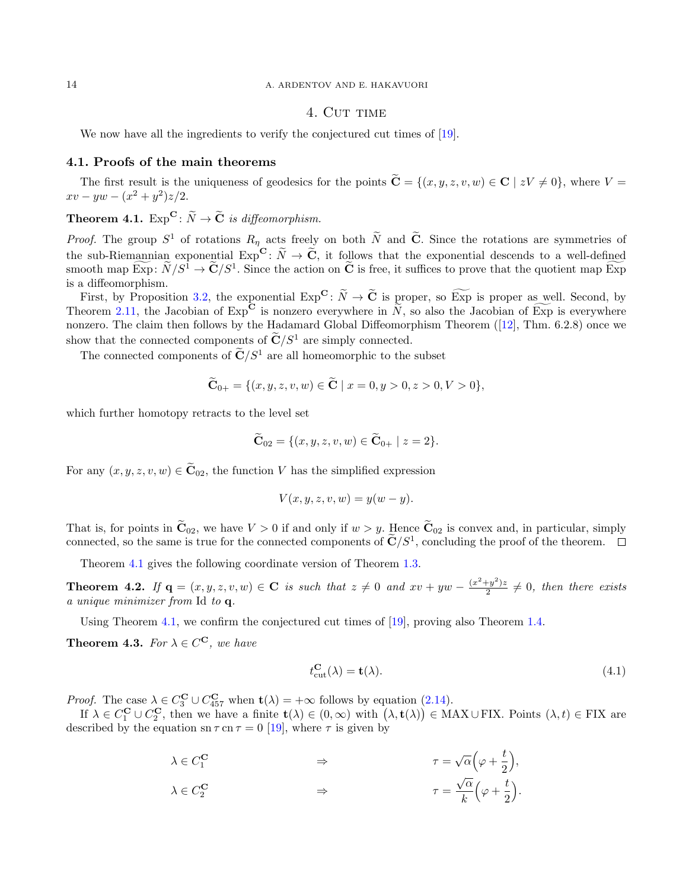# 4. CUT TIME

<span id="page-13-2"></span>We now have all the ingredients to verify the conjectured cut times of [\[19\]](#page-18-3).

#### 4.1. Proofs of the main theorems

The first result is the uniqueness of geodesics for the points  $\widetilde{\mathbf{C}} = \{(x, y, z, v, w) \in \mathbf{C} \mid zV \neq 0\}$ , where  $V =$  $xv - yw - (x^2 + y^2)z/2.$ 

<span id="page-13-3"></span>**Theorem 4.1.**  $Exp^{\mathbf{C}}: \widetilde{N} \to \widetilde{\mathbf{C}}$  is diffeomorphism.

*Proof.* The group  $S^1$  of rotations  $R_n$  acts freely on both N and C. Since the rotations are symmetries of the sub-Riemannian exponential  $Exp^{\mathbf{C}}: \widetilde{N} \to \widetilde{\mathbf{C}}$ , it follows that the exponential descends to a well-defined smooth map  $\text{Exp}: N/S^1 \to \mathbf{C}/S^1$ . Since the action on **C** is free, it suffices to prove that the quotient map Exp is a diffeomorphism.

First, by Proposition [3.2,](#page-10-1) the exponential  $\text{Exp}^{\mathbf{C}}$ :  $\widetilde{N} \to \widetilde{\mathbf{C}}$  is proper, so  $\widetilde{\text{Exp}}$  is proper as well. Second, by Theorem [2.11,](#page-8-0) the Jacobian of  $Exp^{\mathbf{C}}$  is nonzero everywhere in  $\widetilde{N}$ , so also the Jacobian of  $Exp$  is everywhere nonzero. The claim then follows by the Hadamard Global Diffeomorphism Theorem ([\[12\]](#page-17-10), Thm. 6.2.8) once we show that the connected components of  $\tilde{\mathbf{C}}/S^1$  are simply connected.

The connected components of  $\widetilde{\mathbf{C}}/S^1$  are all homeomorphic to the subset

$$
\widetilde{\mathbf{C}}_{0+} = \{ (x, y, z, v, w) \in \widetilde{\mathbf{C}} \mid x = 0, y > 0, z > 0, V > 0 \},\
$$

which further homotopy retracts to the level set

$$
\widetilde{\mathbf{C}}_{02} = \{ (x, y, z, v, w) \in \widetilde{\mathbf{C}}_{0+} \mid z = 2 \}.
$$

For any  $(x, y, z, v, w) \in \widetilde{\mathbf{C}}_{02}$ , the function V has the simplified expression

$$
V(x, y, z, v, w) = y(w - y).
$$

That is, for points in  $\widetilde{\mathbf{C}}_{02}$ , we have  $V > 0$  if and only if  $w > y$ . Hence  $\widetilde{\mathbf{C}}_{02}$  is convex and, in particular, simply connected, so the same is true for the connected components of  $\mathbb{C}/S^1$ , concluding the proof of the theorem.

Theorem [4.1](#page-13-3) gives the following coordinate version of Theorem [1.3.](#page-2-0)

<span id="page-13-0"></span>**Theorem 4.2.** If  $\mathbf{q} = (x, y, z, v, w) \in \mathbf{C}$  is such that  $z \neq 0$  and  $xv + yw - \frac{(x^2 + y^2)z}{2}$  $\frac{(-y)}{2} \neq 0$ , then there exists a unique minimizer from Id to q.

Using Theorem [4.1,](#page-13-3) we confirm the conjectured cut times of [\[19\]](#page-18-3), proving also Theorem [1.4.](#page-2-1)

<span id="page-13-1"></span>**Theorem 4.3.** For  $\lambda \in C^{\mathbf{C}}$ , we have

$$
t_{\text{cut}}^{\mathbf{C}}(\lambda) = \mathbf{t}(\lambda). \tag{4.1}
$$

*Proof.* The case  $\lambda \in C_3^{\mathbf{C}} \cup C_{457}^{\mathbf{C}}$  when  $\mathbf{t}(\lambda) = +\infty$  follows by equation [\(2.14\)](#page-9-1).

If  $\lambda \in C_1^{\mathbf{C}} \cup C_2^{\mathbf{C}}$ , then we have a finite  $\mathbf{t}(\lambda) \in (0, \infty)$  with  $(\lambda, \mathbf{t}(\lambda)) \in \text{MAX} \cup \text{FIN}$ . Points  $(\lambda, t) \in \text{FIN}$  are described by the equation sn  $\tau$  cn  $\tau = 0$  [\[19\]](#page-18-3), where  $\tau$  is given by

> $\lambda \in C_1^{\mathbf{C}}$  $\begin{array}{ccc} \n\pi & \rightarrow & \pi \rightarrow & \pi \rightarrow \end{array}$  $\sqrt{\alpha}\left(\varphi + \frac{t}{2}\right)$ 2  $\big),$  $\lambda \in C_2^{\mathbf{C}}$  $\overrightarrow{2}$   $\Rightarrow$   $\tau =$  $\sqrt{\alpha}$ k  $\left(\varphi + \frac{t}{\alpha}\right)$ 2 .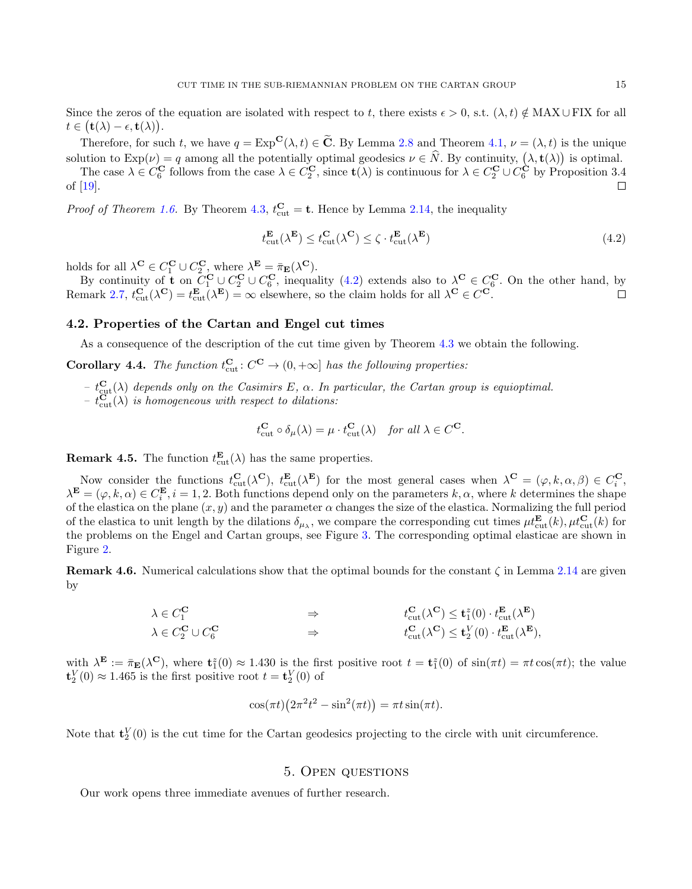Since the zeros of the equation are isolated with respect to t, there exists  $\epsilon > 0$ , s.t.  $(\lambda, t) \notin MAX \cup FIX$  for all  $t\in\bigl(\mathbf{t}(\lambda)-\epsilon,\mathbf{t}(\lambda)\bigr).$ 

Therefore, for such t, we have  $q = \text{Exp}^{\mathbf{C}}(\lambda, t) \in \widetilde{\mathbf{C}}$ . By Lemma [2.8](#page-7-2) and Theorem [4.1,](#page-13-3)  $\nu = (\lambda, t)$  is the unique solution to  $Exp(\nu) = q$  among all the potentially optimal geodesics  $\nu \in N$ . By continuity,  $(\lambda, \mathbf{t}(\lambda))$  is optimal.

The case  $\lambda \in C_6^{\mathbf{C}}$  follows from the case  $\lambda \in C_2^{\mathbf{C}}$ , since  $\mathbf{t}(\lambda)$  is continuous for  $\lambda \in C_2^{\mathbf{C}} \cup C_6^{\mathbf{C}}$  by Proposition 3.4 of [\[19\]](#page-18-3).

*Proof of Theorem [1.6.](#page-2-2)* By Theorem [4.3,](#page-13-1)  $t_{\text{cut}}^{\text{C}} = \text{t}$ . Hence by Lemma [2.14,](#page-9-0) the inequality

<span id="page-14-2"></span>
$$
t_{\text{cut}}^{\mathbf{E}}(\lambda^{\mathbf{E}}) \le t_{\text{cut}}^{\mathbf{C}}(\lambda^{\mathbf{C}}) \le \zeta \cdot t_{\text{cut}}^{\mathbf{E}}(\lambda^{\mathbf{E}})
$$
\n(4.2)

holds for all  $\lambda^{\mathbf{C}} \in C_1^{\mathbf{C}} \cup C_2^{\mathbf{C}}$ , where  $\lambda^{\mathbf{E}} = \overline{\pi}_{\mathbf{E}}(\lambda^{\mathbf{C}})$ .

By continuity of **t** on  $C_1^{\mathbf{C}} \cup C_2^{\mathbf{C}} \cup C_6^{\mathbf{C}}$ , inequality [\(4.2\)](#page-14-2) extends also to  $\lambda^{\mathbf{C}} \in C_6^{\mathbf{C}}$ . On the other hand, by Remark [2.7,](#page-6-1)  $t_{\text{cut}}^{\mathbf{C}}(\lambda^{\mathbf{C}}) = t_{\text{cut}}^{\mathbf{E}}(\lambda^{\mathbf{E}}) = \infty$  elsewhere, so the claim holds for all  $\lambda^{\mathbf{C}} \in C^{\mathbf{C}}$ .

# 4.2. Properties of the Cartan and Engel cut times

As a consequence of the description of the cut time given by Theorem [4.3](#page-13-1) we obtain the following.

<span id="page-14-0"></span>**Corollary 4.4.** The function  $t_{\text{cut}}^{\mathbf{C}}$  :  $C^{\mathbf{C}} \to (0, +\infty]$  has the following properties:

- $t_{\text{cut}}^{\text{C}}(\lambda)$  depends only on the Casimirs E,  $\alpha$ . In particular, the Cartan group is equioptimal.
- $t_{\text{cut}}^{\text{C}}(\lambda)$  is homogeneous with respect to dilations:

$$
t_{\text{cut}}^{\mathbf{C}} \circ \delta_{\mu}(\lambda) = \mu \cdot t_{\text{cut}}^{\mathbf{C}}(\lambda) \quad \text{for all } \lambda \in C^{\mathbf{C}}.
$$

**Remark 4.5.** The function  $t_{\text{cut}}^{E}(\lambda)$  has the same properties.

Now consider the functions  $t_{\text{cut}}^{\mathbf{C}}(\lambda^{\mathbf{C}}), t_{\text{cut}}^{\mathbf{E}}(\lambda^{\mathbf{E}})$  for the most general cases when  $\lambda^{\mathbf{C}} = (\varphi, k, \alpha, \beta) \in C_i^{\mathbf{C}}$ ,  $\lambda^{\mathbf{E}} = (\varphi, k, \alpha) \in C_{i}^{\mathbf{E}}, i = 1, 2$ . Both functions depend only on the parameters  $k, \alpha$ , where k determines the shape of the elastica on the plane  $(x, y)$  and the parameter  $\alpha$  changes the size of the elastica. Normalizing the full period of the elastica to unit length by the dilations  $\delta_{\mu_{\lambda}}$ , we compare the corresponding cut times  $\mu t_{\text{cut}}^{\mathbf{E}}(k)$ ,  $\mu t_{\text{cut}}^{\mathbf{C}}(k)$  for the problems on the Engel and Cartan groups, see Figure [3.](#page-15-1) The corresponding optimal elasticae are shown in Figure [2.](#page-3-0)

**Remark 4.6.** Numerical calculations show that the optimal bounds for the constant  $\zeta$  in Lemma [2.14](#page-9-0) are given by

$$
\begin{array}{ccc}\n\lambda \in C_1^{\mathbf{C}} & \Rightarrow & t_{\text{cut}}^{\mathbf{C}}(\lambda^{\mathbf{C}}) \leq \mathbf{t}_1^z(0) \cdot t_{\text{cut}}^{\mathbf{E}}(\lambda^{\mathbf{E}}) \\
\lambda \in C_2^{\mathbf{C}} \cup C_6^{\mathbf{C}} & \Rightarrow & t_{\text{cut}}^{\mathbf{C}}(\lambda^{\mathbf{C}}) \leq \mathbf{t}_2^V(0) \cdot t_{\text{cut}}^{\mathbf{E}}(\lambda^{\mathbf{E}}),\n\end{array}
$$

with  $\lambda^{\mathbf{E}} := \bar{\pi}_{\mathbf{E}}(\lambda^{\mathbf{C}})$ , where  $\mathbf{t}_1^z(0) \approx 1.430$  is the first positive root  $t = \mathbf{t}_1^z(0)$  of  $\sin(\pi t) = \pi t \cos(\pi t)$ ; the value  $\mathbf{t}_2^V(0) \approx 1.465$  is the first positive root  $t = \mathbf{t}_2^V(0)$  of

$$
\cos(\pi t) \left(2\pi^2 t^2 - \sin^2(\pi t)\right) = \pi t \sin(\pi t).
$$

Note that  $\mathbf{t}_2^V(0)$  is the cut time for the Cartan geodesics projecting to the circle with unit circumference.

## 5. Open questions

<span id="page-14-1"></span>Our work opens three immediate avenues of further research.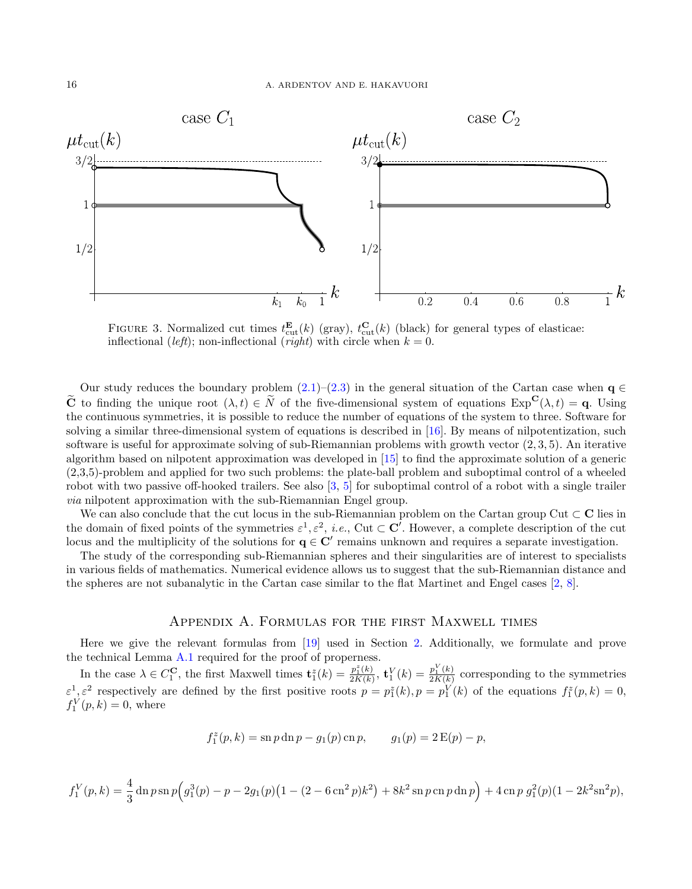

<span id="page-15-1"></span>FIGURE 3. Normalized cut times  $t_{\text{cut}}^{\mathbf{E}}(k)$  (gray),  $t_{\text{cut}}^{\mathbf{C}}(k)$  (black) for general types of elasticae: inflectional (*left*); non-inflectional (*right*) with circle when  $k = 0$ .

Our study reduces the boundary problem  $(2.1)$ – $(2.3)$  in the general situation of the Cartan case when q  $\in$  $\tilde{C}$  to finding the unique root  $(\lambda, t) \in \tilde{N}$  of the five-dimensional system of equations  $Exp^{C}(\lambda, t) = q$ . Using the continuous symmetries, it is possible to reduce the number of equations of the system to three. Software for solving a similar three-dimensional system of equations is described in [\[16\]](#page-18-8). By means of nilpotentization, such software is useful for approximate solving of sub-Riemannian problems with growth vector (2, 3, 5). An iterative algorithm based on nilpotent approximation was developed in [\[15\]](#page-17-11) to find the approximate solution of a generic (2,3,5)-problem and applied for two such problems: the plate-ball problem and suboptimal control of a wheeled robot with two passive off-hooked trailers. See also [\[3,](#page-17-12) [5\]](#page-17-13) for suboptimal control of a robot with a single trailer via nilpotent approximation with the sub-Riemannian Engel group.

We can also conclude that the cut locus in the sub-Riemannian problem on the Cartan group Cut  $\subset \mathbb{C}$  lies in the domain of fixed points of the symmetries  $\varepsilon^1, \varepsilon^2$ , *i.e.*, Cut  $\subset \mathbb{C}'$ . However, a complete description of the cut locus and the multiplicity of the solutions for  $q \in C'$  remains unknown and requires a separate investigation.

The study of the corresponding sub-Riemannian spheres and their singularities are of interest to specialists in various fields of mathematics. Numerical evidence allows us to suggest that the sub-Riemannian distance and the spheres are not subanalytic in the Cartan case similar to the flat Martinet and Engel cases [\[2,](#page-17-14) [8\]](#page-17-3).

# Appendix A. Formulas for the first Maxwell times

<span id="page-15-0"></span>Here we give the relevant formulas from [\[19\]](#page-18-3) used in Section [2.](#page-3-1) Additionally, we formulate and prove the technical Lemma [A.1](#page-16-0) required for the proof of properness.

In the case  $\lambda \in C_1^{\mathbf{C}}$ , the first Maxwell times  $\mathbf{t}_1^z(k) = \frac{p_1^z(k)}{2K(k)}$  $\frac{p_1^z(k)}{2K(k)},\,\mathbf{t}^V_1(k)=\frac{p_1^V(k)}{2K(k)}$  $\frac{p_1(k)}{2K(k)}$  corresponding to the symmetries  $\varepsilon^1$ ,  $\varepsilon^2$  respectively are defined by the first positive roots  $p = p_1^2(k)$ ,  $p = p_1^V(k)$  of the equations  $f_1^z(p, k) = 0$ ,  $f_1^V(p,k) = 0$ , where

$$
f_1^z(p,k) = \mathrm{sn}\, p \, \mathrm{dn}\, p - g_1(p) \, \mathrm{cn}\, p, \qquad g_1(p) = 2\, \mathrm{E}(p) - p,
$$

$$
f_1^V(p,k) = \frac{4}{3} \operatorname{dn} p \operatorname{sn} p \Big( g_1^3(p) - p - 2g_1(p) \big( 1 - (2 - 6 \operatorname{cn}^2 p) k^2 \big) + 8k^2 \operatorname{sn} p \operatorname{cn} p \operatorname{dn} p \Big) + 4 \operatorname{cn} p \ g_1^2(p) \big( 1 - 2k^2 \operatorname{sn}^2 p \big),
$$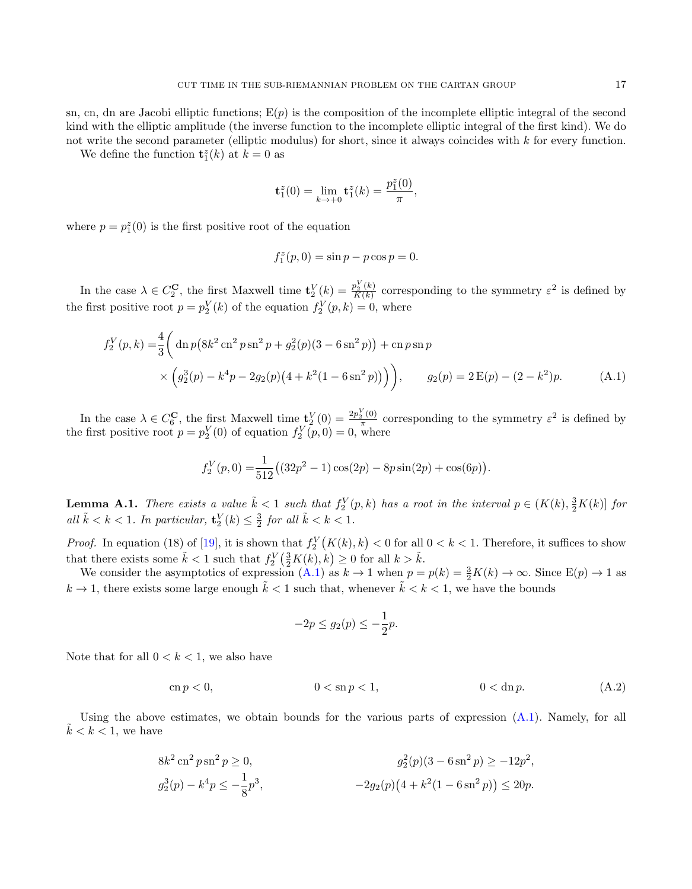sn, cn, dn are Jacobi elliptic functions;  $E(p)$  is the composition of the incomplete elliptic integral of the second kind with the elliptic amplitude (the inverse function to the incomplete elliptic integral of the first kind). We do not write the second parameter (elliptic modulus) for short, since it always coincides with k for every function.

We define the function  $\mathbf{t}_1^z(k)$  at  $k=0$  as

$$
\mathbf{t}_1^z(0) = \lim_{k \to +0} \mathbf{t}_1^z(k) = \frac{p_1^z(0)}{\pi},
$$

where  $p = p_1^z(0)$  is the first positive root of the equation

<span id="page-16-1"></span>
$$
f_1^z(p,0) = \sin p - p \cos p = 0.
$$

In the case  $\lambda \in C_2^{\mathbf{C}}$ , the first Maxwell time  $\mathbf{t}_2^V(k) = \frac{p_2^V(k)}{K(k)}$  $\frac{p_2^2(k)}{K(k)}$  corresponding to the symmetry  $\varepsilon^2$  is defined by the first positive root  $p = p_2^V(k)$  of the equation  $f_2^V(p, k) = 0$ , where

$$
f_2^V(p,k) = \frac{4}{3} \left( \operatorname{dn} p \left( 8k^2 \operatorname{cn}^2 p \operatorname{sn}^2 p + g_2^2(p)(3 - 6 \operatorname{sn}^2 p) \right) + \operatorname{cn} p \operatorname{sn} p \times \left( g_2^3(p) - k^4 p - 2g_2(p) \left( 4 + k^2 (1 - 6 \operatorname{sn}^2 p) \right) \right) \right), \qquad g_2(p) = 2 \operatorname{E}(p) - (2 - k^2)p.
$$
 (A.1)

In the case  $\lambda \in C_6^{\mathbf{C}}$ , the first Maxwell time  $\mathbf{t}_2^V(0) = \frac{2p_2^V(0)}{\pi}$  $\frac{\sum_{i=0}^{n} (0)}{\pi}$  corresponding to the symmetry  $\varepsilon^2$  is defined by the first positive root  $p = p_2^V(0)$  of equation  $f_2^V(p, 0) = 0$ , where

$$
f_2^V(p,0) = \frac{1}{512} ((32p^2 - 1)\cos(2p) - 8p\sin(2p) + \cos(6p)).
$$

<span id="page-16-0"></span>**Lemma A.1.** There exists a value  $\tilde{k} < 1$  such that  $f_2^V(p,k)$  has a root in the interval  $p \in (K(k), \frac{3}{2}K(k)]$  for all  $\tilde{k} < k < 1$ . In particular,  $\mathbf{t}_2^V(k) \leq \frac{3}{2}$  for all  $\tilde{k} < k < 1$ .

*Proof.* In equation (18) of [\[19\]](#page-18-3), it is shown that  $f_2^V(K(k), k) < 0$  for all  $0 < k < 1$ . Therefore, it suffices to show that there exists some  $\tilde{k} < 1$  such that  $f_2^V(\frac{3}{2}K(k), k) \ge 0$  for all  $k > \tilde{k}$ .

We consider the asymptotics of expression [\(A.1\)](#page-16-1) as  $k \to 1$  when  $p = p(k) = \frac{3}{2}K(k) \to \infty$ . Since  $E(p) \to 1$  as  $k \to 1$ , there exists some large enough  $\tilde{k} < 1$  such that, whenever  $\tilde{k} < k < 1$ , we have the bounds

<span id="page-16-2"></span>
$$
-2p \le g_2(p) \le -\frac{1}{2}p.
$$

Note that for all  $0 < k < 1$ , we also have

$$
\operatorname{cn} p < 0, \qquad 0 < \operatorname{sn} p < 1, \qquad 0 < \operatorname{dn} p. \tag{A.2}
$$

Using the above estimates, we obtain bounds for the various parts of expression [\(A.1\)](#page-16-1). Namely, for all  $\tilde{k} < k < 1$ , we have

$$
8k^2 \operatorname{cn}^2 p \operatorname{sn}^2 p \ge 0,
$$
  
\n
$$
g_2^2(p)(3 - 6 \operatorname{sn}^2 p) \ge -12p^2,
$$
  
\n
$$
g_2^3(p) - k^4 p \le -\frac{1}{8}p^3,
$$
  
\n
$$
-2g_2(p)(4 + k^2(1 - 6 \operatorname{sn}^2 p)) \le 20p.
$$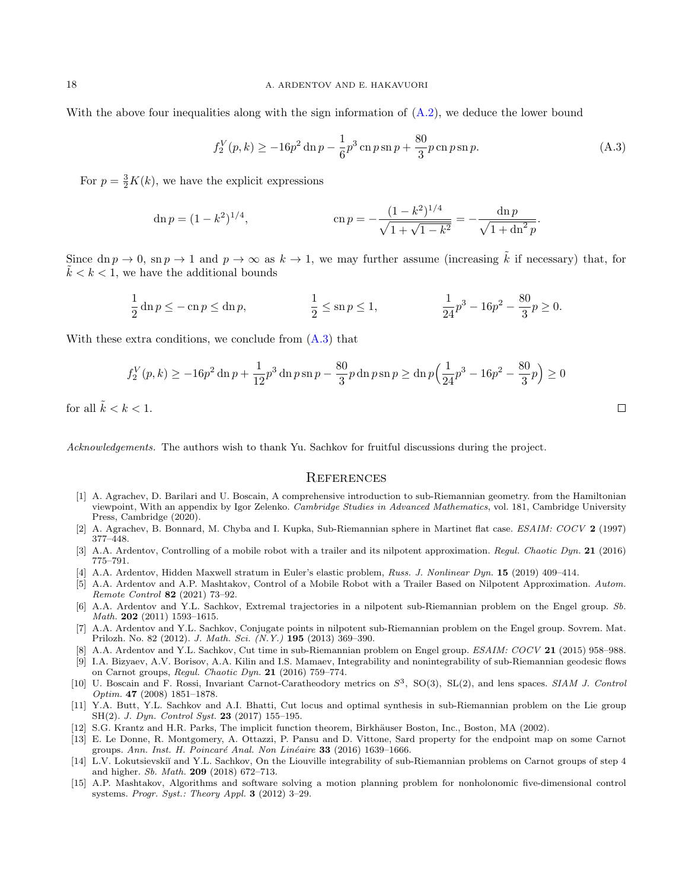With the above four inequalities along with the sign information of  $(A.2)$ , we deduce the lower bound

<span id="page-17-15"></span>
$$
f_2^V(p,k) \ge -16p^2 \ln p - \frac{1}{6}p^3 \ln p \sin p + \frac{80}{3}p \ln p \sin p. \tag{A.3}
$$

 $\Box$ 

For  $p = \frac{3}{2}K(k)$ , we have the explicit expressions

$$
\operatorname{dn} p = (1 - k^2)^{1/4}, \qquad \operatorname{cn} p = -\frac{(1 - k^2)^{1/4}}{\sqrt{1 + \sqrt{1 - k^2}}} = -\frac{\operatorname{dn} p}{\sqrt{1 + \operatorname{dn}^2 p}}.
$$

Since dn  $p \to 0$ , sn  $p \to 1$  and  $p \to \infty$  as  $k \to 1$ , we may further assume (increasing  $\tilde{k}$  if necessary) that, for  $k < k < 1$ , we have the additional bounds

$$
\frac{1}{2}\ln p \le -\ln p \le \ln p, \qquad \qquad \frac{1}{2}\le \ln p \le 1, \qquad \qquad \frac{1}{24}p^3 - 16p^2 - \frac{80}{3}p \ge 0.
$$

With these extra conditions, we conclude from [\(A.3\)](#page-17-15) that

$$
f_2^V(p,k) \ge -16p^2 \ln p + \frac{1}{12}p^3 \ln p \sin p - \frac{80}{3}p \ln p \sin p \ge \ln p \left(\frac{1}{24}p^3 - 16p^2 - \frac{80}{3}p\right) \ge 0
$$

for all  $\tilde{k} < k < 1$ .

Acknowledgements. The authors wish to thank Yu. Sachkov for fruitful discussions during the project.

## **REFERENCES**

- <span id="page-17-5"></span>[1] A. Agrachev, D. Barilari and U. Boscain, A comprehensive introduction to sub-Riemannian geometry. from the Hamiltonian viewpoint, With an appendix by Igor Zelenko. Cambridge Studies in Advanced Mathematics, vol. 181, Cambridge University Press, Cambridge (2020).
- <span id="page-17-14"></span>[2] A. Agrachev, B. Bonnard, M. Chyba and I. Kupka, Sub-Riemannian sphere in Martinet flat case. ESAIM: COCV 2 (1997) 377–448.
- <span id="page-17-12"></span>[3] A.A. Ardentov, Controlling of a mobile robot with a trailer and its nilpotent approximation. Regul. Chaotic Dyn. 21 (2016) 775–791.
- <span id="page-17-6"></span>[4] A.A. Ardentov, Hidden Maxwell stratum in Euler's elastic problem, Russ. J. Nonlinear Dyn. 15 (2019) 409–414.
- <span id="page-17-13"></span>[5] A.A. Ardentov and A.P. Mashtakov, Control of a Mobile Robot with a Trailer Based on Nilpotent Approximation. Autom. Remote Control 82 (2021) 73–92.
- <span id="page-17-2"></span>[6] A.A. Ardentov and Y.L. Sachkov, Extremal trajectories in a nilpotent sub-Riemannian problem on the Engel group. Sb. Math. 202 (2011) 1593–1615.
- <span id="page-17-4"></span>[7] A.A. Ardentov and Y.L. Sachkov, Conjugate points in nilpotent sub-Riemannian problem on the Engel group. Sovrem. Mat. Prilozh. No. 82 (2012). J. Math. Sci. (N.Y.) 195 (2013) 369–390.
- <span id="page-17-3"></span>[8] A.A. Ardentov and Y.L. Sachkov, Cut time in sub-Riemannian problem on Engel group. ESAIM: COCV 21 (2015) 958–988.
- <span id="page-17-0"></span>[9] I.A. Bizyaev, A.V. Borisov, A.A. Kilin and I.S. Mamaev, Integrability and nonintegrability of sub-Riemannian geodesic flows on Carnot groups, Regul. Chaotic Dyn. 21 (2016) 759–774.
- <span id="page-17-7"></span>[10] U. Boscain and F. Rossi, Invariant Carnot-Caratheodory metrics on  $S^3$ , SO(3), SL(2), and lens spaces. SIAM J. Control Optim. 47 (2008) 1851–1878.
- <span id="page-17-8"></span>[11] Y.A. Butt, Y.L. Sachkov and A.I. Bhatti, Cut locus and optimal synthesis in sub-Riemannian problem on the Lie group SH(2). J. Dyn. Control Syst. 23 (2017) 155–195.
- <span id="page-17-10"></span>[12] S.G. Krantz and H.R. Parks, The implicit function theorem, Birkhäuser Boston, Inc., Boston, MA (2002).
- <span id="page-17-9"></span>[13] E. Le Donne, R. Montgomery, A. Ottazzi, P. Pansu and D. Vittone, Sard property for the endpoint map on some Carnot groups. Ann. Inst. H. Poincaré Anal. Non Linéaire 33 (2016) 1639-1666.
- <span id="page-17-1"></span>[14] L.V. Lokutsievskiĭ and Y.L. Sachkov, On the Liouville integrability of sub-Riemannian problems on Carnot groups of step 4 and higher. Sb. Math. 209 (2018) 672–713.
- <span id="page-17-11"></span>[15] A.P. Mashtakov, Algorithms and software solving a motion planning problem for nonholonomic five-dimensional control systems. Progr. Syst.: Theory Appl. 3 (2012) 3–29.